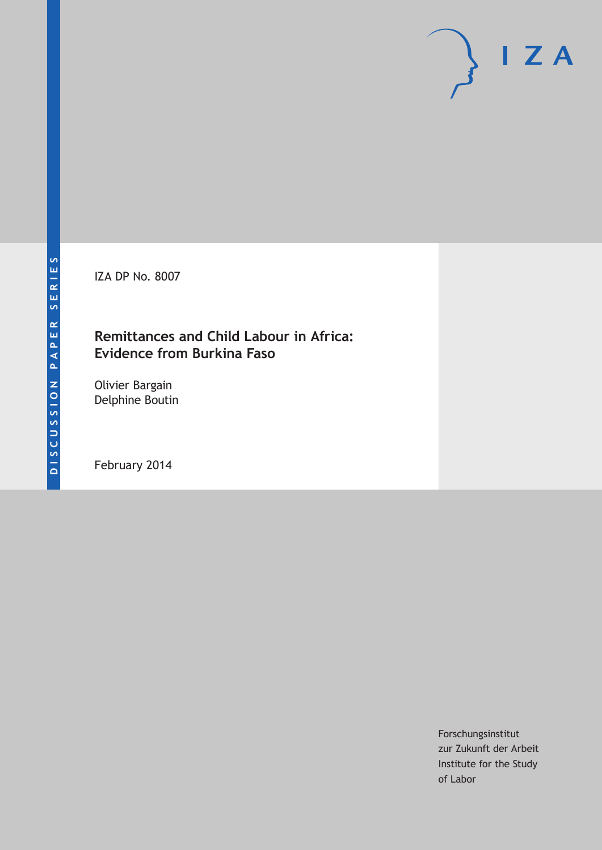IZA DP No. 8007

## **Remittances and Child Labour in Africa: Evidence from Burkina Faso**

Olivier Bargain Delphine Boutin

February 2014

Forschungsinstitut zur Zukunft der Arbeit Institute for the Study of Labor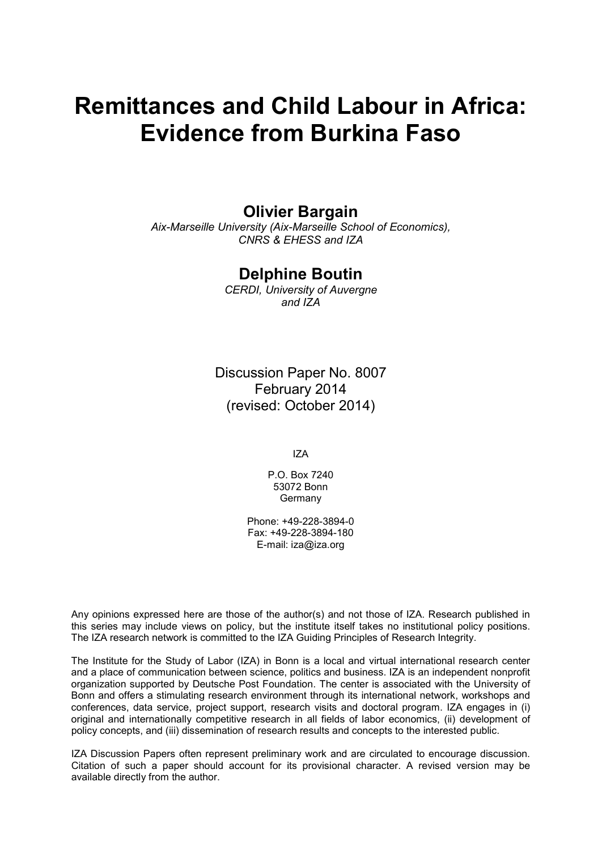# **Remittances and Child Labour in Africa: Evidence from Burkina Faso**

## **Olivier Bargain**

*Aix-Marseille University (Aix-Marseille School of Economics), CNRS & EHESS and IZA*

## **Delphine Boutin**

*CERDI, University of Auvergne and IZA*

Discussion Paper No. 8007 February 2014 (revised: October 2014)

IZA

P.O. Box 7240 53072 Bonn Germany

Phone: +49-228-3894-0 Fax: +49-228-3894-180 E-mail: [iza@iza.org](mailto:iza@iza.org)

Any opinions expressed here are those of the author(s) and not those of IZA. Research published in this series may include views on policy, but the institute itself takes no institutional policy positions. The IZA research network is committed to the IZA Guiding Principles of Research Integrity.

The Institute for the Study of Labor (IZA) in Bonn is a local and virtual international research center and a place of communication between science, politics and business. IZA is an independent nonprofit organization supported by Deutsche Post Foundation. The center is associated with the University of Bonn and offers a stimulating research environment through its international network, workshops and conferences, data service, project support, research visits and doctoral program. IZA engages in (i) original and internationally competitive research in all fields of labor economics, (ii) development of policy concepts, and (iii) dissemination of research results and concepts to the interested public.

IZA Discussion Papers often represent preliminary work and are circulated to encourage discussion. Citation of such a paper should account for its provisional character. A revised version may be available directly from the author.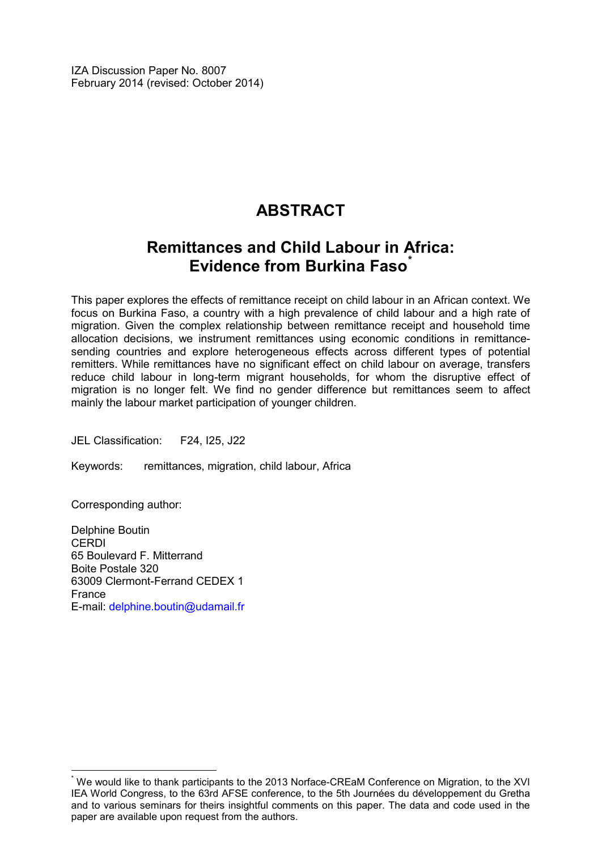IZA Discussion Paper No. 8007 February 2014 (revised: October 2014)

## **ABSTRACT**

## **Remittances and Child Labour in Africa: Evidence from Burkina Faso[\\*](#page-2-0)**

This paper explores the effects of remittance receipt on child labour in an African context. We focus on Burkina Faso, a country with a high prevalence of child labour and a high rate of migration. Given the complex relationship between remittance receipt and household time allocation decisions, we instrument remittances using economic conditions in remittancesending countries and explore heterogeneous effects across different types of potential remitters. While remittances have no significant effect on child labour on average, transfers reduce child labour in long-term migrant households, for whom the disruptive effect of migration is no longer felt. We find no gender difference but remittances seem to affect mainly the labour market participation of younger children.

JEL Classification: F24, I25, J22

Keywords: remittances, migration, child labour, Africa

Corresponding author:

Delphine Boutin CERDI 65 Boulevard F. Mitterrand Boite Postale 320 63009 Clermont-Ferrand CEDEX 1 France E-mail: [delphine.boutin@udamail.fr](mailto:delphine.boutin@udamail.fr)

<span id="page-2-0"></span>We would like to thank participants to the 2013 Norface-CREaM Conference on Migration, to the XVI IEA World Congress, to the 63rd AFSE conference, to the 5th Journées du développement du Gretha and to various seminars for theirs insightful comments on this paper. The data and code used in the paper are available upon request from the authors.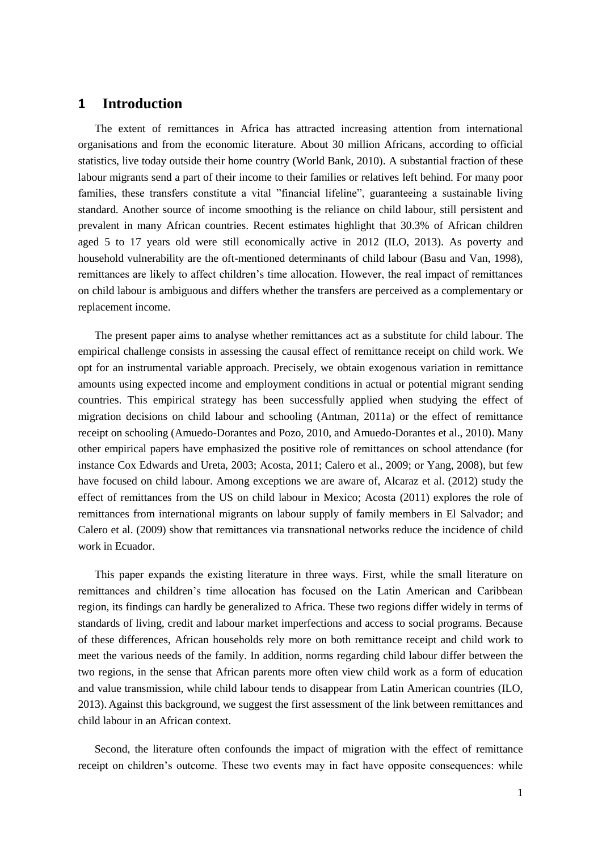## **1 Introduction**

The extent of remittances in Africa has attracted increasing attention from international organisations and from the economic literature. About 30 million Africans, according to official statistics, live today outside their home country (World Bank, 2010). A substantial fraction of these labour migrants send a part of their income to their families or relatives left behind. For many poor families, these transfers constitute a vital "financial lifeline", guaranteeing a sustainable living standard. Another source of income smoothing is the reliance on child labour, still persistent and prevalent in many African countries. Recent estimates highlight that 30.3% of African children aged 5 to 17 years old were still economically active in 2012 (ILO, 2013). As poverty and household vulnerability are the oft-mentioned determinants of child labour (Basu and Van, 1998), remittances are likely to affect children's time allocation. However, the real impact of remittances on child labour is ambiguous and differs whether the transfers are perceived as a complementary or replacement income.

The present paper aims to analyse whether remittances act as a substitute for child labour. The empirical challenge consists in assessing the causal effect of remittance receipt on child work. We opt for an instrumental variable approach. Precisely, we obtain exogenous variation in remittance amounts using expected income and employment conditions in actual or potential migrant sending countries. This empirical strategy has been successfully applied when studying the effect of migration decisions on child labour and schooling (Antman, 2011a) or the effect of remittance receipt on schooling (Amuedo-Dorantes and Pozo, 2010, and Amuedo-Dorantes et al., 2010). Many other empirical papers have emphasized the positive role of remittances on school attendance (for instance Cox Edwards and Ureta, 2003; Acosta, 2011; Calero et al., 2009; or Yang, 2008), but few have focused on child labour. Among exceptions we are aware of, Alcaraz et al. (2012) study the effect of remittances from the US on child labour in Mexico; Acosta (2011) explores the role of remittances from international migrants on labour supply of family members in El Salvador; and Calero et al. (2009) show that remittances via transnational networks reduce the incidence of child work in Ecuador.

This paper expands the existing literature in three ways. First, while the small literature on remittances and children's time allocation has focused on the Latin American and Caribbean region, its findings can hardly be generalized to Africa. These two regions differ widely in terms of standards of living, credit and labour market imperfections and access to social programs. Because of these differences, African households rely more on both remittance receipt and child work to meet the various needs of the family. In addition, norms regarding child labour differ between the two regions, in the sense that African parents more often view child work as a form of education and value transmission, while child labour tends to disappear from Latin American countries (ILO, 2013). Against this background, we suggest the first assessment of the link between remittances and child labour in an African context.

Second, the literature often confounds the impact of migration with the effect of remittance receipt on children's outcome. These two events may in fact have opposite consequences: while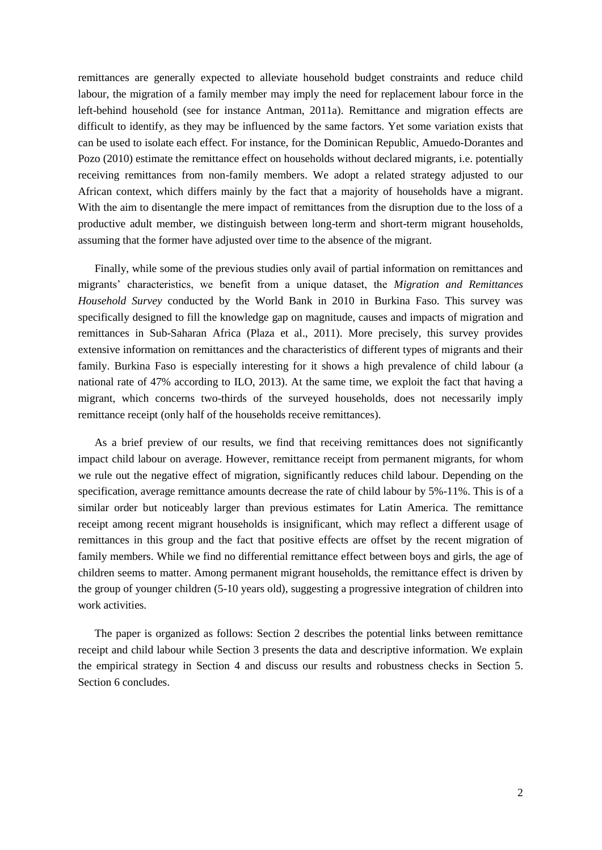remittances are generally expected to alleviate household budget constraints and reduce child labour, the migration of a family member may imply the need for replacement labour force in the left-behind household (see for instance Antman, 2011a). Remittance and migration effects are difficult to identify, as they may be influenced by the same factors. Yet some variation exists that can be used to isolate each effect. For instance, for the Dominican Republic, Amuedo-Dorantes and Pozo (2010) estimate the remittance effect on households without declared migrants, i.e. potentially receiving remittances from non-family members. We adopt a related strategy adjusted to our African context, which differs mainly by the fact that a majority of households have a migrant. With the aim to disentangle the mere impact of remittances from the disruption due to the loss of a productive adult member, we distinguish between long-term and short-term migrant households, assuming that the former have adjusted over time to the absence of the migrant.

Finally, while some of the previous studies only avail of partial information on remittances and migrants' characteristics, we benefit from a unique dataset, the *Migration and Remittances Household Survey* conducted by the World Bank in 2010 in Burkina Faso. This survey was specifically designed to fill the knowledge gap on magnitude, causes and impacts of migration and remittances in Sub-Saharan Africa (Plaza et al., 2011). More precisely, this survey provides extensive information on remittances and the characteristics of different types of migrants and their family. Burkina Faso is especially interesting for it shows a high prevalence of child labour (a national rate of 47% according to ILO, 2013). At the same time, we exploit the fact that having a migrant, which concerns two-thirds of the surveyed households, does not necessarily imply remittance receipt (only half of the households receive remittances).

As a brief preview of our results, we find that receiving remittances does not significantly impact child labour on average. However, remittance receipt from permanent migrants, for whom we rule out the negative effect of migration, significantly reduces child labour. Depending on the specification, average remittance amounts decrease the rate of child labour by 5%-11%. This is of a similar order but noticeably larger than previous estimates for Latin America. The remittance receipt among recent migrant households is insignificant, which may reflect a different usage of remittances in this group and the fact that positive effects are offset by the recent migration of family members. While we find no differential remittance effect between boys and girls, the age of children seems to matter. Among permanent migrant households, the remittance effect is driven by the group of younger children (5-10 years old), suggesting a progressive integration of children into work activities.

The paper is organized as follows: Section 2 describes the potential links between remittance receipt and child labour while Section 3 presents the data and descriptive information. We explain the empirical strategy in Section 4 and discuss our results and robustness checks in Section 5. Section 6 concludes.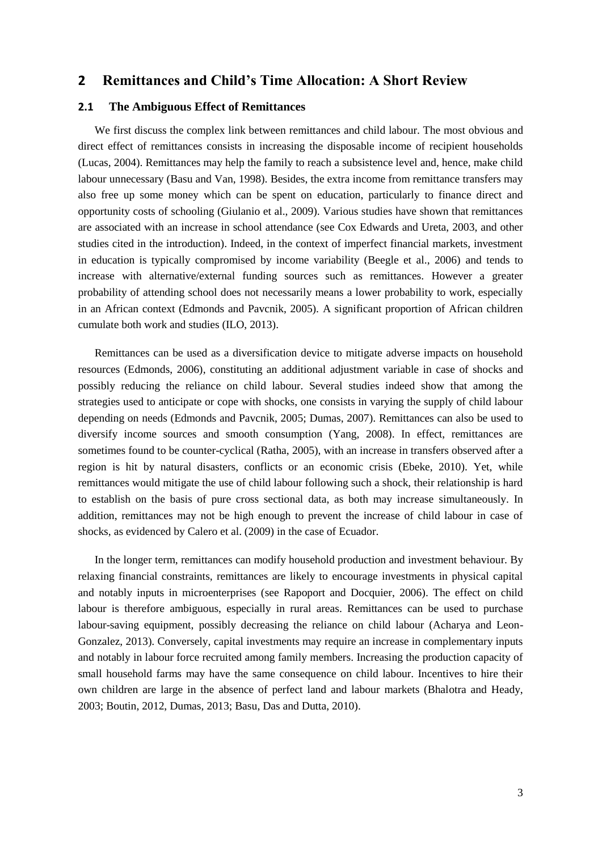### **2 Remittances and Child's Time Allocation: A Short Review**

#### **2.1 The Ambiguous Effect of Remittances**

We first discuss the complex link between remittances and child labour. The most obvious and direct effect of remittances consists in increasing the disposable income of recipient households (Lucas, 2004). Remittances may help the family to reach a subsistence level and, hence, make child labour unnecessary (Basu and Van, 1998). Besides, the extra income from remittance transfers may also free up some money which can be spent on education, particularly to finance direct and opportunity costs of schooling (Giulanio et al., 2009). Various studies have shown that remittances are associated with an increase in school attendance (see Cox Edwards and Ureta, 2003, and other studies cited in the introduction). Indeed, in the context of imperfect financial markets, investment in education is typically compromised by income variability (Beegle et al., 2006) and tends to increase with alternative/external funding sources such as remittances. However a greater probability of attending school does not necessarily means a lower probability to work, especially in an African context (Edmonds and Pavcnik, 2005). A significant proportion of African children cumulate both work and studies (ILO, 2013).

Remittances can be used as a diversification device to mitigate adverse impacts on household resources (Edmonds, 2006), constituting an additional adjustment variable in case of shocks and possibly reducing the reliance on child labour. Several studies indeed show that among the strategies used to anticipate or cope with shocks, one consists in varying the supply of child labour depending on needs (Edmonds and Pavcnik, 2005; Dumas, 2007). Remittances can also be used to diversify income sources and smooth consumption (Yang, 2008). In effect, remittances are sometimes found to be counter-cyclical (Ratha, 2005), with an increase in transfers observed after a region is hit by natural disasters, conflicts or an economic crisis (Ebeke, 2010). Yet, while remittances would mitigate the use of child labour following such a shock, their relationship is hard to establish on the basis of pure cross sectional data, as both may increase simultaneously. In addition, remittances may not be high enough to prevent the increase of child labour in case of shocks, as evidenced by Calero et al. (2009) in the case of Ecuador.

In the longer term, remittances can modify household production and investment behaviour. By relaxing financial constraints, remittances are likely to encourage investments in physical capital and notably inputs in microenterprises (see Rapoport and Docquier, 2006). The effect on child labour is therefore ambiguous, especially in rural areas. Remittances can be used to purchase labour-saving equipment, possibly decreasing the reliance on child labour (Acharya and Leon-Gonzalez, 2013). Conversely, capital investments may require an increase in complementary inputs and notably in labour force recruited among family members. Increasing the production capacity of small household farms may have the same consequence on child labour. Incentives to hire their own children are large in the absence of perfect land and labour markets (Bhalotra and Heady, 2003; Boutin, 2012, Dumas, 2013; Basu, Das and Dutta, 2010).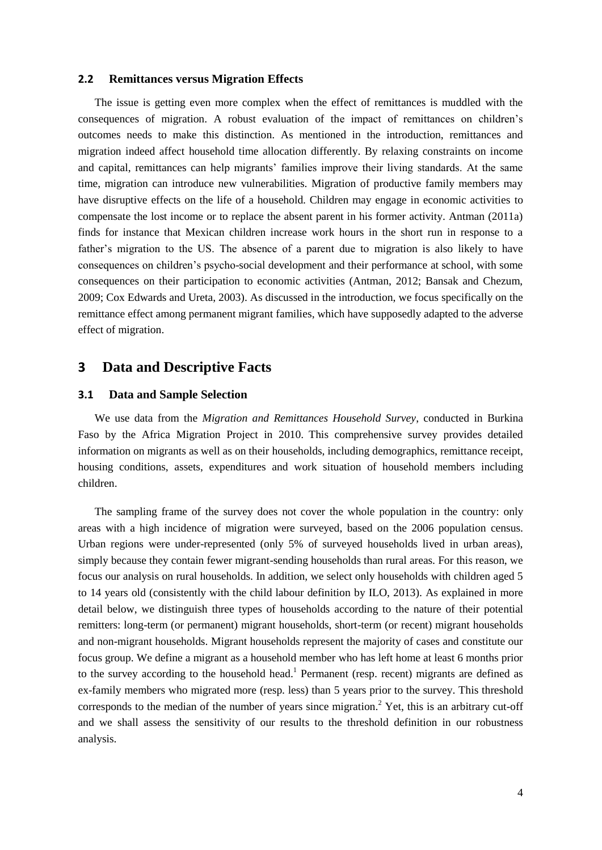#### **2.2 Remittances versus Migration Effects**

The issue is getting even more complex when the effect of remittances is muddled with the consequences of migration. A robust evaluation of the impact of remittances on children's outcomes needs to make this distinction. As mentioned in the introduction, remittances and migration indeed affect household time allocation differently. By relaxing constraints on income and capital, remittances can help migrants' families improve their living standards. At the same time, migration can introduce new vulnerabilities. Migration of productive family members may have disruptive effects on the life of a household. Children may engage in economic activities to compensate the lost income or to replace the absent parent in his former activity. Antman (2011a) finds for instance that Mexican children increase work hours in the short run in response to a father's migration to the US. The absence of a parent due to migration is also likely to have consequences on children's psycho-social development and their performance at school, with some consequences on their participation to economic activities (Antman, 2012; Bansak and Chezum, 2009; Cox Edwards and Ureta, 2003). As discussed in the introduction, we focus specifically on the remittance effect among permanent migrant families, which have supposedly adapted to the adverse effect of migration.

### **3 Data and Descriptive Facts**

#### **3.1 Data and Sample Selection**

We use data from the *Migration and Remittances Household Survey*, conducted in Burkina Faso by the Africa Migration Project in 2010. This comprehensive survey provides detailed information on migrants as well as on their households, including demographics, remittance receipt, housing conditions, assets, expenditures and work situation of household members including children.

The sampling frame of the survey does not cover the whole population in the country: only areas with a high incidence of migration were surveyed, based on the 2006 population census. Urban regions were under-represented (only 5% of surveyed households lived in urban areas), simply because they contain fewer migrant-sending households than rural areas. For this reason, we focus our analysis on rural households. In addition, we select only households with children aged 5 to 14 years old (consistently with the child labour definition by ILO, 2013). As explained in more detail below, we distinguish three types of households according to the nature of their potential remitters: long-term (or permanent) migrant households, short-term (or recent) migrant households and non-migrant households. Migrant households represent the majority of cases and constitute our focus group. We define a migrant as a household member who has left home at least 6 months prior to the survey according to the household head.<sup>1</sup> Permanent (resp. recent) migrants are defined as ex-family members who migrated more (resp. less) than 5 years prior to the survey. This threshold corresponds to the median of the number of years since migration.<sup>2</sup> Yet, this is an arbitrary cut-off and we shall assess the sensitivity of our results to the threshold definition in our robustness analysis.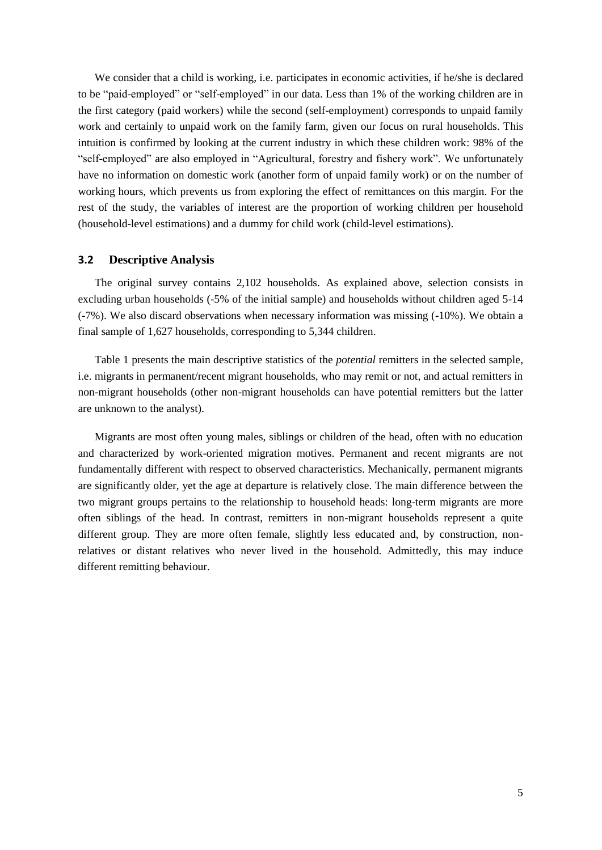We consider that a child is working, i.e. participates in economic activities, if he/she is declared to be "paid-employed" or "self-employed" in our data. Less than 1% of the working children are in the first category (paid workers) while the second (self-employment) corresponds to unpaid family work and certainly to unpaid work on the family farm, given our focus on rural households. This intuition is confirmed by looking at the current industry in which these children work: 98% of the "self-employed" are also employed in "Agricultural, forestry and fishery work". We unfortunately have no information on domestic work (another form of unpaid family work) or on the number of working hours, which prevents us from exploring the effect of remittances on this margin. For the rest of the study, the variables of interest are the proportion of working children per household (household-level estimations) and a dummy for child work (child-level estimations).

#### **3.2 Descriptive Analysis**

The original survey contains 2,102 households. As explained above, selection consists in excluding urban households (-5% of the initial sample) and households without children aged 5-14 (-7%). We also discard observations when necessary information was missing (-10%). We obtain a final sample of 1,627 households, corresponding to 5,344 children.

Table 1 presents the main descriptive statistics of the *potential* remitters in the selected sample, i.e. migrants in permanent/recent migrant households, who may remit or not, and actual remitters in non-migrant households (other non-migrant households can have potential remitters but the latter are unknown to the analyst).

Migrants are most often young males, siblings or children of the head, often with no education and characterized by work-oriented migration motives. Permanent and recent migrants are not fundamentally different with respect to observed characteristics. Mechanically, permanent migrants are significantly older, yet the age at departure is relatively close. The main difference between the two migrant groups pertains to the relationship to household heads: long-term migrants are more often siblings of the head. In contrast, remitters in non-migrant households represent a quite different group. They are more often female, slightly less educated and, by construction, nonrelatives or distant relatives who never lived in the household. Admittedly, this may induce different remitting behaviour.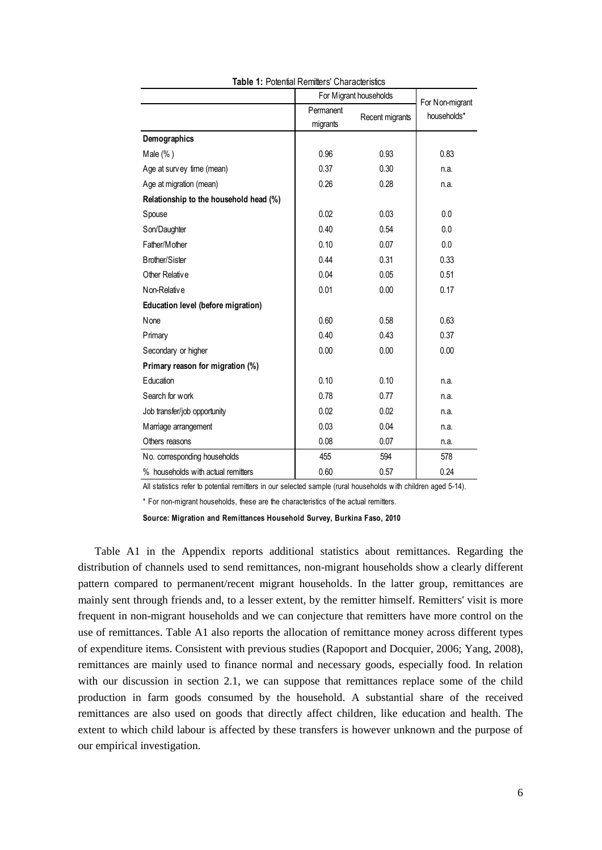|                                        |                       | For Migrant households | For Non-migrant |
|----------------------------------------|-----------------------|------------------------|-----------------|
|                                        | Permanent<br>migrants | Recent migrants        | households*     |
| Demographics                           |                       |                        |                 |
| Male $(\% )$                           | 0.96                  | 0.93                   | 0.83            |
| Age at survey time (mean)              | 0.37                  | 0.30                   | n.a.            |
| Age at migration (mean)                | 0.26                  | 0.28                   | n.a.            |
| Relationship to the household head (%) |                       |                        |                 |
| Spouse                                 | 0.02                  | 0.03                   | 0.0             |
| Son/Daughter                           | 0.40                  | 0.54                   | 0.0             |
| Father/Mother                          | 0.10                  | 0.07                   | 0.0             |
| <b>Brother/Sister</b>                  | 0.44                  | 0.31                   | 0.33            |
| Other Relative                         | 0.04                  | 0.05                   | 0.51            |
| Non-Relative                           | 0.01                  | 0.00                   | 0.17            |
| Education level (before migration)     |                       |                        |                 |
| None                                   | 0.60                  | 0.58                   | 0.63            |
| Primary                                | 0.40                  | 0.43                   | 0.37            |
| Secondary or higher                    | 0.00                  | 0.00                   | 0.00            |
| Primary reason for migration (%)       |                       |                        |                 |
| Education                              | 0.10                  | 0.10                   | n.a.            |
| Search for work                        | 0.78                  | 0.77                   | n.a.            |
| Job transfer/job opportunity           | 0.02                  | 0.02                   | n.a.            |
| Marriage arrangement                   | 0.03                  | 0.04                   | n.a.            |
| Others reasons                         | 0.08                  | 0.07                   | n.a.            |
| No. corresponding households           | 455                   | 594                    | 578             |
| % households with actual remitters     | 0.60                  | 0.57                   | 0.24            |

**Table 1: Potential Remitters' Characteristics** 

All statistics refer to potential remitters in our selected sample (rural households with children aged 5-14).

\* For non-migrant households, these are the characteristics of the actual remitters.

**Source: Migration and Remittances Household Survey, Burkina Faso, 2010**

Table A1 in the Appendix reports additional statistics about remittances. Regarding the distribution of channels used to send remittances, non-migrant households show a clearly different pattern compared to permanent/recent migrant households. In the latter group, remittances are mainly sent through friends and, to a lesser extent, by the remitter himself. Remitters' visit is more frequent in non-migrant households and we can conjecture that remitters have more control on the use of remittances. Table A1 also reports the allocation of remittance money across different types of expenditure items. Consistent with previous studies (Rapoport and Docquier, 2006; Yang, 2008), remittances are mainly used to finance normal and necessary goods, especially food. In relation with our discussion in section 2.1, we can suppose that remittances replace some of the child production in farm goods consumed by the household. A substantial share of the received remittances are also used on goods that directly affect children, like education and health. The extent to which child labour is affected by these transfers is however unknown and the purpose of our empirical investigation.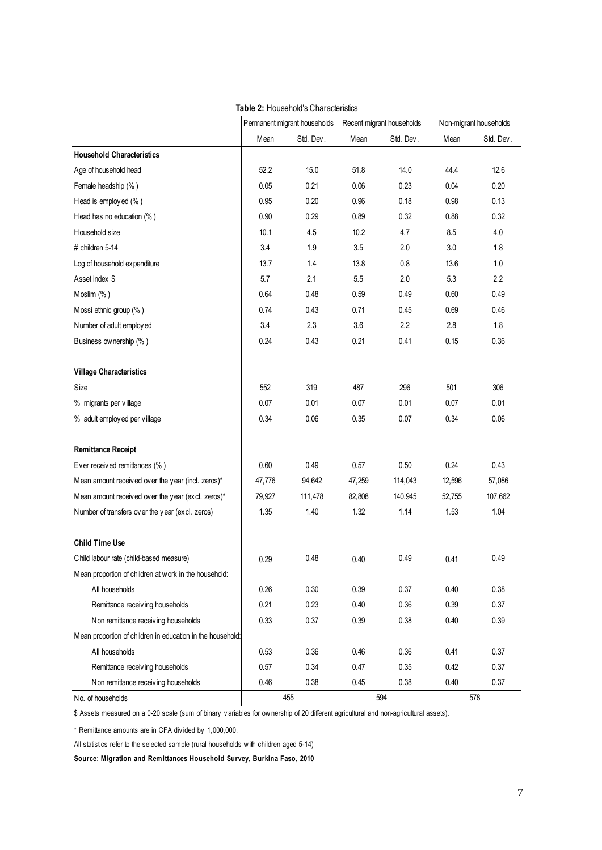|                                                                                                                                      | Permanent migrant households |           |        | Recent migrant households | Non-migrant households |           |  |
|--------------------------------------------------------------------------------------------------------------------------------------|------------------------------|-----------|--------|---------------------------|------------------------|-----------|--|
|                                                                                                                                      | Mean                         | Std. Dev. | Mean   | Std. Dev.                 | Mean                   | Std. Dev. |  |
| <b>Household Characteristics</b>                                                                                                     |                              |           |        |                           |                        |           |  |
| Age of household head                                                                                                                | 52.2                         | 15.0      | 51.8   | 14.0                      | 44.4                   | 12.6      |  |
| Female headship (%)                                                                                                                  | 0.05                         | 0.21      | 0.06   | 0.23                      | 0.04                   | 0.20      |  |
| Head is employed (%)                                                                                                                 | 0.95                         | 0.20      | 0.96   | 0.18                      | 0.98                   | 0.13      |  |
| Head has no education (%)                                                                                                            | 0.90                         | 0.29      | 0.89   | 0.32                      | 0.88                   | 0.32      |  |
| Household size                                                                                                                       | 10.1                         | 4.5       | 10.2   | 4.7                       | 8.5                    | 4.0       |  |
| # children 5-14                                                                                                                      | 3.4                          | 1.9       | 3.5    | 2.0                       | 3.0                    | 1.8       |  |
| Log of household expenditure                                                                                                         | 13.7                         | 1.4       | 13.8   | 0.8                       | 13.6                   | 1.0       |  |
| Asset index \$                                                                                                                       | 5.7                          | 2.1       | 5.5    | 2.0                       | 5.3                    | 2.2       |  |
| Moslim (%)                                                                                                                           | 0.64                         | 0.48      | 0.59   | 0.49                      | 0.60                   | 0.49      |  |
| Mossi ethnic group (%)                                                                                                               | 0.74                         | 0.43      | 0.71   | 0.45                      | 0.69                   | 0.46      |  |
| Number of adult employed                                                                                                             | 3.4                          | 2.3       | 3.6    | 2.2                       | 2.8                    | 1.8       |  |
| Business ownership (%)                                                                                                               | 0.24                         | 0.43      | 0.21   | 0.41                      | 0.15                   | 0.36      |  |
| <b>Village Characteristics</b>                                                                                                       |                              |           |        |                           |                        |           |  |
| Size                                                                                                                                 | 552                          | 319       | 487    | 296                       | 501                    | 306       |  |
| % migrants per village                                                                                                               | 0.07                         | 0.01      | 0.07   | 0.01                      | 0.07                   | 0.01      |  |
| % adult employed per village                                                                                                         | 0.34                         | 0.06      | 0.35   | 0.07                      | 0.34                   | 0.06      |  |
| <b>Remittance Receipt</b>                                                                                                            |                              |           |        |                           |                        |           |  |
| Ever received remittances (%)                                                                                                        | 0.60                         | 0.49      | 0.57   | 0.50                      | 0.24                   | 0.43      |  |
| Mean amount received over the year (incl. zeros)*                                                                                    | 47,776                       | 94,642    | 47,259 | 114,043                   | 12,596                 | 57,086    |  |
| Mean amount received over the year (excl. zeros)*                                                                                    | 79,927                       | 111,478   | 82,808 | 140,945                   | 52,755                 | 107,662   |  |
| Number of transfers over the year (excl. zeros)                                                                                      | 1.35                         | 1.40      | 1.32   | 1.14                      | 1.53                   | 1.04      |  |
| <b>Child Time Use</b>                                                                                                                |                              |           |        |                           |                        |           |  |
| Child labour rate (child-based measure)                                                                                              | 0.29                         | 0.48      | 0.40   | 0.49                      | 0.41                   | 0.49      |  |
| Mean proportion of children at work in the household:                                                                                |                              |           |        |                           |                        |           |  |
| All households                                                                                                                       | 0.26                         | 0.30      | 0.39   | 0.37                      | 0.40                   | 0.38      |  |
| Remittance receiving households                                                                                                      | 0.21                         | 0.23      | 0.40   | 0.36                      | 0.39                   | 0.37      |  |
| Non remittance receiving households                                                                                                  | 0.33                         | 0.37      | 0.39   | 0.38                      | 0.40                   | 0.39      |  |
| Mean proportion of children in education in the household:                                                                           |                              |           |        |                           |                        |           |  |
| All households                                                                                                                       | 0.53                         | 0.36      | 0.46   | 0.36                      | 0.41                   | 0.37      |  |
| Remittance receiving households                                                                                                      | 0.57                         | 0.34      | 0.47   | 0.35                      | 0.42                   | 0.37      |  |
| Non remittance receiving households                                                                                                  | 0.46                         | 0.38      | 0.45   | 0.38                      | 0.40                   | 0.37      |  |
| No. of households                                                                                                                    |                              | 455       |        | 594                       |                        | 578       |  |
| \$ Assets measured on a 0-20 scale (sum of binary variables for ownership of 20 different agricultural and non-agricultural assets). |                              |           |        |                           |                        |           |  |
| * Remittance amounts are in CFA divided by 1,000,000.                                                                                |                              |           |        |                           |                        |           |  |

#### **Table 2:** Household's Characteristics

S Assets measured on a 0-20 scale (sum of binary variables for ownership of 20 d<br>
\* Remittance amounts are in CFA divided by 1,000,000.<br>
All statistics refer to the selected sample (rural households with children aged 5-14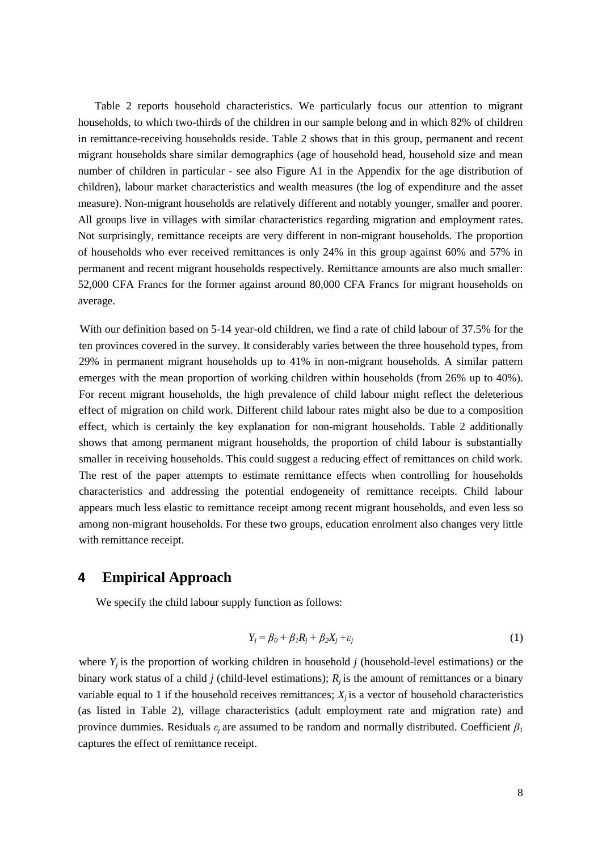Table 2 reports household characteristics. We particularly focus our attention to migrant households, to which two-thirds of the children in our sample belong and in which 82% of children in remittance-receiving households reside. Table 2 shows that in this group, permanent and recent migrant households share similar demographics (age of household head, household size and mean number of children in particular - see also Figure A1 in the Appendix for the age distribution of children), labour market characteristics and wealth measures (the log of expenditure and the asset measure). Non-migrant households are relatively different and notably younger, smaller and poorer. All groups live in villages with similar characteristics regarding migration and employment rates. Not surprisingly, remittance receipts are very different in non-migrant households. The proportion of households who ever received remittances is only 24% in this group against 60% and 57% in permanent and recent migrant households respectively. Remittance amounts are also much smaller: 52,000 CFA Francs for the former against around 80,000 CFA Francs for migrant households on average.

With our definition based on 5-14 year-old children, we find a rate of child labour of 37.5% for the ten provinces covered in the survey. It considerably varies between the three household types, from 29% in permanent migrant households up to 41% in non-migrant households. A similar pattern emerges with the mean proportion of working children within households (from 26% up to 40%). For recent migrant households, the high prevalence of child labour might reflect the deleterious effect of migration on child work. Different child labour rates might also be due to a composition effect, which is certainly the key explanation for non-migrant households. Table 2 additionally shows that among permanent migrant households, the proportion of child labour is substantially smaller in receiving households. This could suggest a reducing effect of remittances on child work. The rest of the paper attempts to estimate remittance effects when controlling for households characteristics and addressing the potential endogeneity of remittance receipts. Child labour appears much less elastic to remittance receipt among recent migrant households, and even less so among non-migrant households. For these two groups, education enrolment also changes very little with remittance receipt.

## **4 Empirical Approach**

We specify the child labour supply function as follows:

$$
Y_j = \beta_0 + \beta_1 R_j + \beta_2 X_j + \varepsilon_j \tag{1}
$$

where  $Y_i$  is the proportion of working children in household *j* (household-level estimations) or the binary work status of a child *j* (child-level estimations);  $R_i$  is the amount of remittances or a binary variable equal to 1 if the household receives remittances;  $X_i$  is a vector of household characteristics (as listed in Table 2), village characteristics (adult employment rate and migration rate) and province dummies. Residuals  $\varepsilon_i$  are assumed to be random and normally distributed. Coefficient  $\beta_l$ captures the effect of remittance receipt.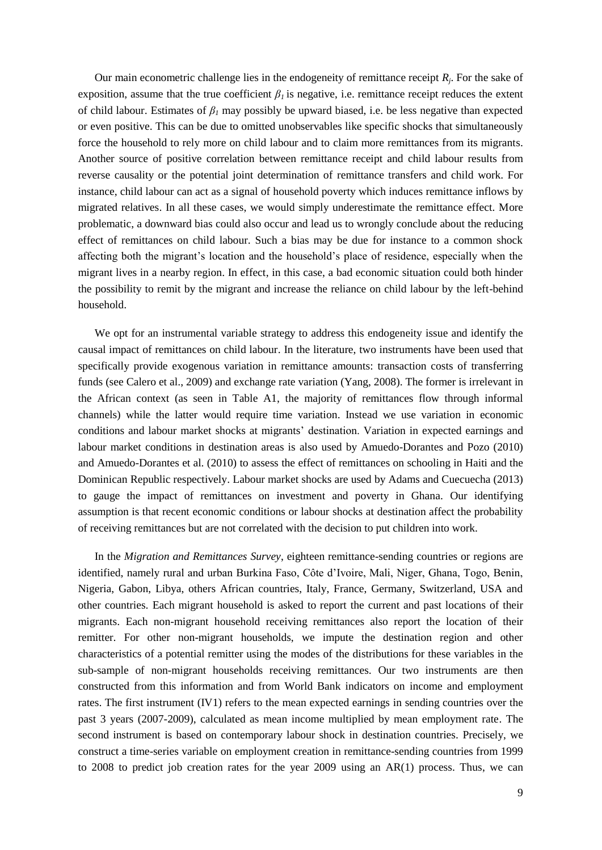Our main econometric challenge lies in the endogeneity of remittance receipt  $R_j$ . For the sake of exposition, assume that the true coefficient  $\beta_l$  is negative, i.e. remittance receipt reduces the extent of child labour. Estimates of *β<sup>1</sup>* may possibly be upward biased, i.e. be less negative than expected or even positive. This can be due to omitted unobservables like specific shocks that simultaneously force the household to rely more on child labour and to claim more remittances from its migrants. Another source of positive correlation between remittance receipt and child labour results from reverse causality or the potential joint determination of remittance transfers and child work. For instance, child labour can act as a signal of household poverty which induces remittance inflows by migrated relatives. In all these cases, we would simply underestimate the remittance effect. More problematic, a downward bias could also occur and lead us to wrongly conclude about the reducing effect of remittances on child labour. Such a bias may be due for instance to a common shock affecting both the migrant's location and the household's place of residence, especially when the migrant lives in a nearby region. In effect, in this case, a bad economic situation could both hinder the possibility to remit by the migrant and increase the reliance on child labour by the left-behind household.

We opt for an instrumental variable strategy to address this endogeneity issue and identify the causal impact of remittances on child labour. In the literature, two instruments have been used that specifically provide exogenous variation in remittance amounts: transaction costs of transferring funds (see Calero et al., 2009) and exchange rate variation (Yang, 2008). The former is irrelevant in the African context (as seen in Table A1, the majority of remittances flow through informal channels) while the latter would require time variation. Instead we use variation in economic conditions and labour market shocks at migrants' destination. Variation in expected earnings and labour market conditions in destination areas is also used by Amuedo-Dorantes and Pozo (2010) and Amuedo-Dorantes et al. (2010) to assess the effect of remittances on schooling in Haiti and the Dominican Republic respectively. Labour market shocks are used by Adams and Cuecuecha (2013) to gauge the impact of remittances on investment and poverty in Ghana. Our identifying assumption is that recent economic conditions or labour shocks at destination affect the probability of receiving remittances but are not correlated with the decision to put children into work.

In the *Migration and Remittances Survey*, eighteen remittance-sending countries or regions are identified, namely rural and urban Burkina Faso, Côte d'Ivoire, Mali, Niger, Ghana, Togo, Benin, Nigeria, Gabon, Libya, others African countries, Italy, France, Germany, Switzerland, USA and other countries. Each migrant household is asked to report the current and past locations of their migrants. Each non-migrant household receiving remittances also report the location of their remitter. For other non-migrant households, we impute the destination region and other characteristics of a potential remitter using the modes of the distributions for these variables in the sub-sample of non-migrant households receiving remittances. Our two instruments are then constructed from this information and from World Bank indicators on income and employment rates. The first instrument (IV1) refers to the mean expected earnings in sending countries over the past 3 years (2007*-*2009), calculated as mean income multiplied by mean employment rate. The second instrument is based on contemporary labour shock in destination countries. Precisely, we construct a time-series variable on employment creation in remittance-sending countries from 1999 to 2008 to predict job creation rates for the year 2009 using an AR(1) process. Thus, we can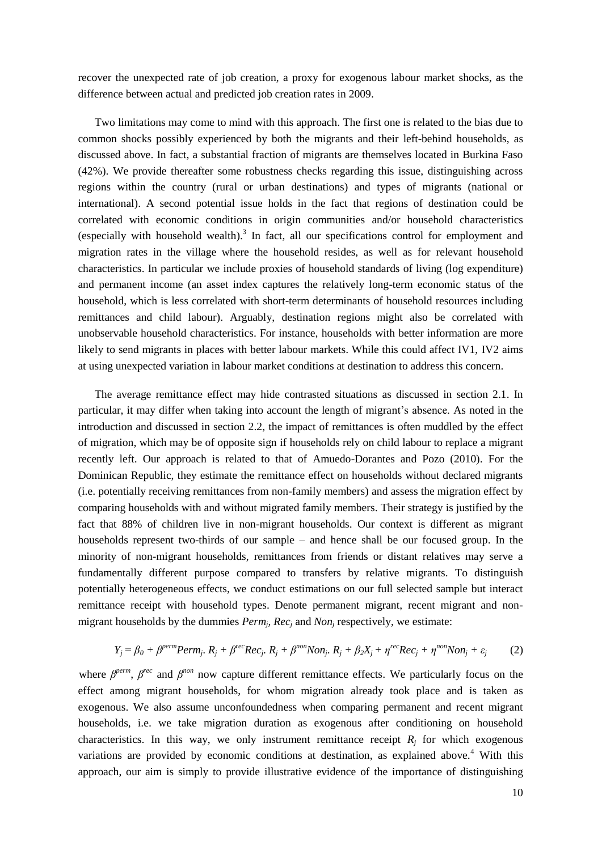recover the unexpected rate of job creation, a proxy for exogenous labour market shocks, as the difference between actual and predicted job creation rates in 2009.

Two limitations may come to mind with this approach. The first one is related to the bias due to common shocks possibly experienced by both the migrants and their left-behind households, as discussed above. In fact, a substantial fraction of migrants are themselves located in Burkina Faso (42%). We provide thereafter some robustness checks regarding this issue, distinguishing across regions within the country (rural or urban destinations) and types of migrants (national or international). A second potential issue holds in the fact that regions of destination could be correlated with economic conditions in origin communities and/or household characteristics (especially with household wealth). 3 In fact, all our specifications control for employment and migration rates in the village where the household resides, as well as for relevant household characteristics. In particular we include proxies of household standards of living (log expenditure) and permanent income (an asset index captures the relatively long-term economic status of the household, which is less correlated with short-term determinants of household resources including remittances and child labour). Arguably, destination regions might also be correlated with unobservable household characteristics. For instance, households with better information are more likely to send migrants in places with better labour markets. While this could affect IV1, IV2 aims at using unexpected variation in labour market conditions at destination to address this concern.

The average remittance effect may hide contrasted situations as discussed in section 2.1. In particular, it may differ when taking into account the length of migrant's absence. As noted in the introduction and discussed in section 2.2, the impact of remittances is often muddled by the effect of migration, which may be of opposite sign if households rely on child labour to replace a migrant recently left. Our approach is related to that of Amuedo-Dorantes and Pozo (2010). For the Dominican Republic, they estimate the remittance effect on households without declared migrants (i.e. potentially receiving remittances from non-family members) and assess the migration effect by comparing households with and without migrated family members. Their strategy is justified by the fact that 88% of children live in non-migrant households. Our context is different as migrant households represent two-thirds of our sample – and hence shall be our focused group. In the minority of non-migrant households, remittances from friends or distant relatives may serve a fundamentally different purpose compared to transfers by relative migrants. To distinguish potentially heterogeneous effects, we conduct estimations on our full selected sample but interact remittance receipt with household types. Denote permanent migrant, recent migrant and nonmigrant households by the dummies  $Perm_j$ ,  $Rec_j$  and  $Non_j$  respectively, we estimate:

$$
Y_j = \beta_0 + \beta^{perm} Perm_j, R_j + \beta^{rec} Rec_j, R_j + \beta^{non} Non_j, R_j + \beta_2 X_j + \eta^{rec} Rec_j + \eta^{non} Non_j + \varepsilon_j
$$
 (2)

where *β*<sup>perm</sup>, *β*<sup>rec</sup> and *β*<sup>non</sup> now capture different remittance effects. We particularly focus on the effect among migrant households, for whom migration already took place and is taken as exogenous. We also assume unconfoundedness when comparing permanent and recent migrant households, i.e. we take migration duration as exogenous after conditioning on household characteristics. In this way, we only instrument remittance receipt  $R_i$  for which exogenous variations are provided by economic conditions at destination, as explained above.<sup>4</sup> With this approach, our aim is simply to provide illustrative evidence of the importance of distinguishing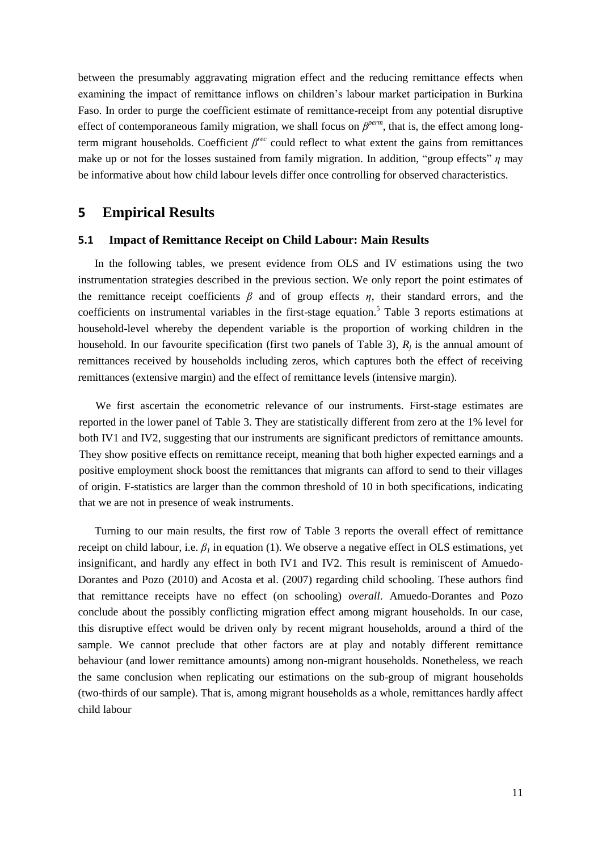between the presumably aggravating migration effect and the reducing remittance effects when examining the impact of remittance inflows on children's labour market participation in Burkina Faso. In order to purge the coefficient estimate of remittance-receipt from any potential disruptive effect of contemporaneous family migration, we shall focus on *β<sup>perm</sup>*, that is, the effect among longterm migrant households. Coefficient  $\beta^{rec}$  could reflect to what extent the gains from remittances make up or not for the losses sustained from family migration. In addition, "group effects" *η* may be informative about how child labour levels differ once controlling for observed characteristics.

### **5 Empirical Results**

#### **5.1 Impact of Remittance Receipt on Child Labour: Main Results**

In the following tables, we present evidence from OLS and IV estimations using the two instrumentation strategies described in the previous section. We only report the point estimates of the remittance receipt coefficients  $\beta$  and of group effects  $\eta$ , their standard errors, and the coefficients on instrumental variables in the first-stage equation. <sup>5</sup> Table 3 reports estimations at household-level whereby the dependent variable is the proportion of working children in the household. In our favourite specification (first two panels of Table 3),  $R_j$  is the annual amount of remittances received by households including zeros, which captures both the effect of receiving remittances (extensive margin) and the effect of remittance levels (intensive margin).

We first ascertain the econometric relevance of our instruments. First-stage estimates are reported in the lower panel of Table 3. They are statistically different from zero at the 1% level for both IV1 and IV2, suggesting that our instruments are significant predictors of remittance amounts. They show positive effects on remittance receipt, meaning that both higher expected earnings and a positive employment shock boost the remittances that migrants can afford to send to their villages of origin. F-statistics are larger than the common threshold of 10 in both specifications, indicating that we are not in presence of weak instruments.

Turning to our main results, the first row of Table 3 reports the overall effect of remittance receipt on child labour, i.e.  $\beta_l$  in equation (1). We observe a negative effect in OLS estimations, yet insignificant, and hardly any effect in both IV1 and IV2. This result is reminiscent of Amuedo-Dorantes and Pozo (2010) and Acosta et al. (2007) regarding child schooling. These authors find that remittance receipts have no effect (on schooling) *overall*. Amuedo-Dorantes and Pozo conclude about the possibly conflicting migration effect among migrant households. In our case, this disruptive effect would be driven only by recent migrant households, around a third of the sample. We cannot preclude that other factors are at play and notably different remittance behaviour (and lower remittance amounts) among non-migrant households. Nonetheless, we reach the same conclusion when replicating our estimations on the sub-group of migrant households (two-thirds of our sample). That is, among migrant households as a whole, remittances hardly affect child labour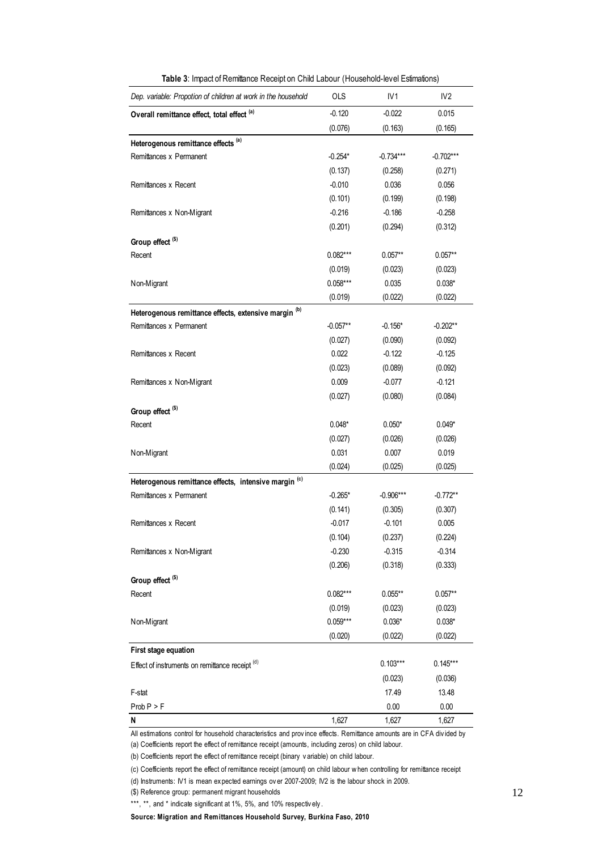| Dep. variable: Propotion of children at work in the household                                                        | <b>OLS</b> | IV <sub>1</sub> | IV <sub>2</sub> |
|----------------------------------------------------------------------------------------------------------------------|------------|-----------------|-----------------|
| Overall remittance effect, total effect (a)                                                                          | $-0.120$   | $-0.022$        | 0.015           |
|                                                                                                                      | (0.076)    | (0.163)         | (0.165)         |
| Heterogenous remittance effects (a)                                                                                  |            |                 |                 |
| Remittances x Permanent                                                                                              | $-0.254*$  | $-0.734***$     | $-0.702***$     |
|                                                                                                                      | (0.137)    | (0.258)         | (0.271)         |
| Remittances x Recent                                                                                                 | $-0.010$   | 0.036           | 0.056           |
|                                                                                                                      | (0.101)    | (0.199)         | (0.198)         |
| Remittances x Non-Migrant                                                                                            | $-0.216$   | $-0.186$        | $-0.258$        |
|                                                                                                                      | (0.201)    | (0.294)         | (0.312)         |
| Group effect <sup>(\$)</sup>                                                                                         |            |                 |                 |
| Recent                                                                                                               | $0.082***$ | $0.057**$       | $0.057**$       |
|                                                                                                                      | (0.019)    | (0.023)         | (0.023)         |
| N on-Migrant                                                                                                         | $0.058***$ | 0.035           | $0.038*$        |
|                                                                                                                      | (0.019)    | (0.022)         | (0.022)         |
| Heterogenous remittance effects, extensive margin (b)                                                                |            |                 |                 |
| Remittances x Permanent                                                                                              | $-0.057**$ | $-0.156*$       | $-0.202**$      |
|                                                                                                                      | (0.027)    | (0.090)         | (0.092)         |
| Remittances x Recent                                                                                                 | 0.022      | $-0.122$        | $-0.125$        |
|                                                                                                                      | (0.023)    | (0.089)         | (0.092)         |
| Remittances x Non-Migrant                                                                                            | 0.009      | $-0.077$        | $-0.121$        |
|                                                                                                                      | (0.027)    | (0.080)         | (0.084)         |
| Group effect <sup>(\$)</sup>                                                                                         |            |                 |                 |
| Recent                                                                                                               | $0.048*$   | $0.050*$        | $0.049*$        |
|                                                                                                                      | (0.027)    | (0.026)         | (0.026)         |
| N on-Migrant                                                                                                         | 0.031      | 0.007           | 0.019           |
|                                                                                                                      | (0.024)    | (0.025)         | (0.025)         |
| Heterogenous remittance effects, intensive margin (c)                                                                |            |                 |                 |
| Remittances x Permanent                                                                                              | $-0.265*$  | $-0.906***$     | $-0.772**$      |
|                                                                                                                      | (0.141)    | (0.305)         | (0.307)         |
| Remittances x Recent                                                                                                 | $-0.017$   | $-0.101$        | 0.005           |
|                                                                                                                      | (0.104)    | (0.237)         | (0.224)         |
| Remittances x Non-Migrant                                                                                            | $-0.230$   | $-0.315$        | $-0.314$        |
|                                                                                                                      | (0.206)    | (0.318)         | (0.333)         |
| Group effect <sup>(\$)</sup>                                                                                         |            |                 |                 |
| Recent                                                                                                               | $0.082***$ | $0.055***$      | $0.057**$       |
|                                                                                                                      | (0.019)    | (0.023)         | (0.023)         |
| N on-Migrant                                                                                                         | $0.059***$ | $0.036*$        | $0.038*$        |
|                                                                                                                      | (0.020)    | (0.022)         | (0.022)         |
| First stage equation                                                                                                 |            |                 |                 |
| Effect of instruments on remittance receipt (d)                                                                      |            | $0.103***$      | $0.145***$      |
|                                                                                                                      |            | (0.023)         | (0.036)         |
| F-stat                                                                                                               |            | 17.49           | 13.48           |
| Prob P > F                                                                                                           |            | 0.00            | 0.00            |
| N                                                                                                                    | 1,627      | 1,627           | 1,627           |
| All estimations control for household characteristics and province effects. Remittance amounts are in CFA divided by |            |                 |                 |

**Table 3**: Impact of Remittance Receipt on Child Labour (Household-level Estimations)

All estimations control for household characteristics and province effects. Remittance<br>(a) Coefficients report the effect of remittance receipt (amounts, including zeros) on ch<br>(b) Coefficients report the effect of remitta

(a) Coefficients report the effect of remittance receipt (amounts, including zeros) on child labour.

(b) Coefficients report the effect of remittance receipt (binary variable) on child labour.<br>(c) Coefficients report the effect of remittance receipt (amount) on child labour w hen controlling for remittance receipt

(d) Instruments: IV1 is mean ex pected earnings ov er 2007-2009; IV2 is the labour shock in 2009.

(\$) Reference group: permanent migrant households

\*\*\*, \*\*, and \* indicate significant at 1%, 5%, and 10% respectively.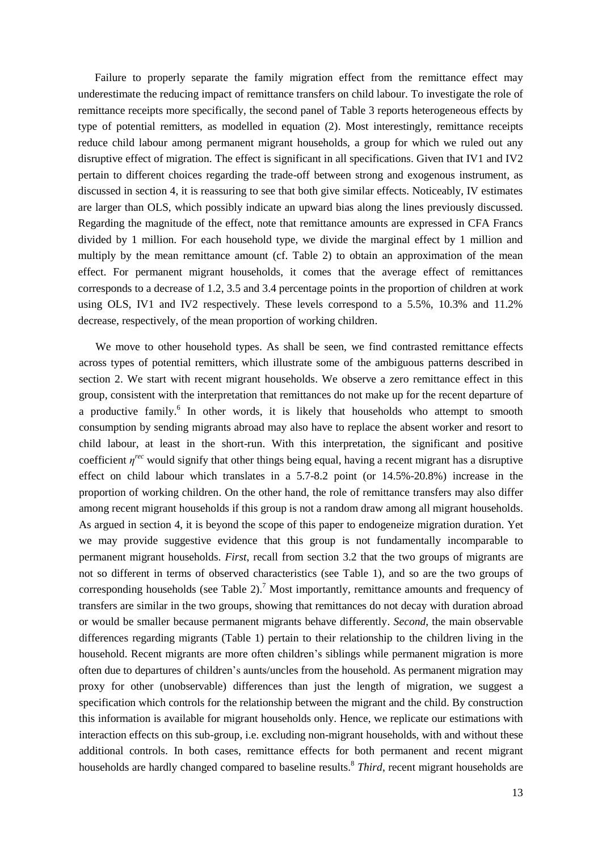Failure to properly separate the family migration effect from the remittance effect may underestimate the reducing impact of remittance transfers on child labour. To investigate the role of remittance receipts more specifically, the second panel of Table 3 reports heterogeneous effects by type of potential remitters, as modelled in equation (2). Most interestingly, remittance receipts reduce child labour among permanent migrant households, a group for which we ruled out any disruptive effect of migration. The effect is significant in all specifications. Given that IV1 and IV2 pertain to different choices regarding the trade-off between strong and exogenous instrument, as discussed in section 4, it is reassuring to see that both give similar effects. Noticeably, IV estimates are larger than OLS, which possibly indicate an upward bias along the lines previously discussed. Regarding the magnitude of the effect, note that remittance amounts are expressed in CFA Francs divided by 1 million. For each household type, we divide the marginal effect by 1 million and multiply by the mean remittance amount (cf. Table 2) to obtain an approximation of the mean effect. For permanent migrant households, it comes that the average effect of remittances corresponds to a decrease of 1.2, 3.5 and 3.4 percentage points in the proportion of children at work using OLS, IV1 and IV2 respectively. These levels correspond to a 5.5%, 10.3% and 11.2% decrease, respectively, of the mean proportion of working children.

We move to other household types. As shall be seen, we find contrasted remittance effects across types of potential remitters, which illustrate some of the ambiguous patterns described in section 2. We start with recent migrant households. We observe a zero remittance effect in this group, consistent with the interpretation that remittances do not make up for the recent departure of a productive family.<sup>6</sup> In other words, it is likely that households who attempt to smooth consumption by sending migrants abroad may also have to replace the absent worker and resort to child labour, at least in the short-run. With this interpretation, the significant and positive coefficient *η rec* would signify that other things being equal, having a recent migrant has a disruptive effect on child labour which translates in a 5.7-8.2 point (or 14.5%-20.8%) increase in the proportion of working children. On the other hand, the role of remittance transfers may also differ among recent migrant households if this group is not a random draw among all migrant households. As argued in section 4, it is beyond the scope of this paper to endogeneize migration duration. Yet we may provide suggestive evidence that this group is not fundamentally incomparable to permanent migrant households. *First*, recall from section 3.2 that the two groups of migrants are not so different in terms of observed characteristics (see Table 1), and so are the two groups of corresponding households (see Table 2).<sup>7</sup> Most importantly, remittance amounts and frequency of transfers are similar in the two groups, showing that remittances do not decay with duration abroad or would be smaller because permanent migrants behave differently. *Second*, the main observable differences regarding migrants (Table 1) pertain to their relationship to the children living in the household. Recent migrants are more often children's siblings while permanent migration is more often due to departures of children's aunts/uncles from the household. As permanent migration may proxy for other (unobservable) differences than just the length of migration, we suggest a specification which controls for the relationship between the migrant and the child. By construction this information is available for migrant households only. Hence, we replicate our estimations with interaction effects on this sub-group, i.e. excluding non-migrant households, with and without these additional controls. In both cases, remittance effects for both permanent and recent migrant households are hardly changed compared to baseline results.<sup>8</sup> Third, recent migrant households are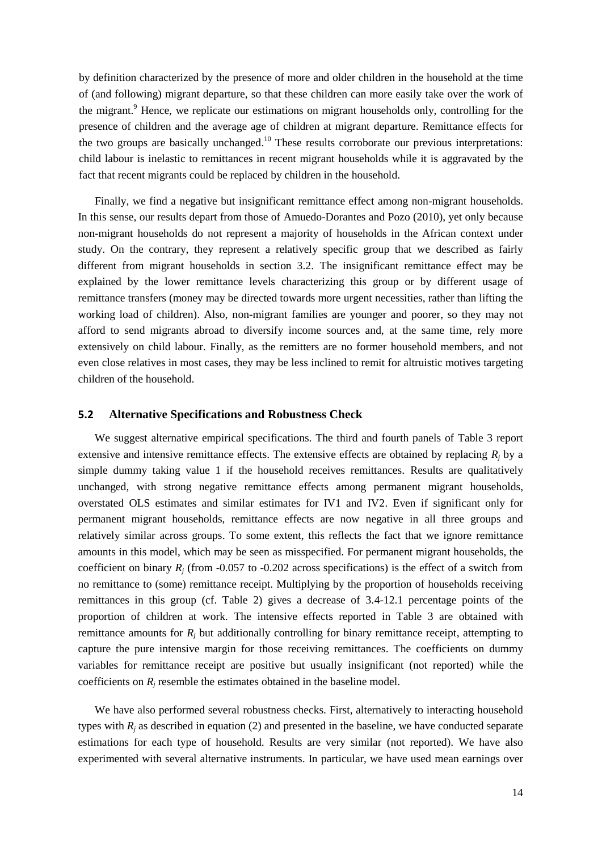by definition characterized by the presence of more and older children in the household at the time of (and following) migrant departure, so that these children can more easily take over the work of the migrant.<sup>9</sup> Hence, we replicate our estimations on migrant households only, controlling for the presence of children and the average age of children at migrant departure. Remittance effects for the two groups are basically unchanged.<sup>10</sup> These results corroborate our previous interpretations: child labour is inelastic to remittances in recent migrant households while it is aggravated by the fact that recent migrants could be replaced by children in the household.

Finally, we find a negative but insignificant remittance effect among non-migrant households. In this sense, our results depart from those of Amuedo-Dorantes and Pozo (2010), yet only because non-migrant households do not represent a majority of households in the African context under study. On the contrary, they represent a relatively specific group that we described as fairly different from migrant households in section 3.2. The insignificant remittance effect may be explained by the lower remittance levels characterizing this group or by different usage of remittance transfers (money may be directed towards more urgent necessities, rather than lifting the working load of children). Also, non-migrant families are younger and poorer, so they may not afford to send migrants abroad to diversify income sources and, at the same time, rely more extensively on child labour. Finally, as the remitters are no former household members, and not even close relatives in most cases, they may be less inclined to remit for altruistic motives targeting children of the household.

#### **5.2 Alternative Specifications and Robustness Check**

We suggest alternative empirical specifications. The third and fourth panels of Table 3 report extensive and intensive remittance effects. The extensive effects are obtained by replacing  $R_i$  by a simple dummy taking value 1 if the household receives remittances. Results are qualitatively unchanged, with strong negative remittance effects among permanent migrant households, overstated OLS estimates and similar estimates for IV1 and IV2. Even if significant only for permanent migrant households, remittance effects are now negative in all three groups and relatively similar across groups. To some extent, this reflects the fact that we ignore remittance amounts in this model, which may be seen as misspecified. For permanent migrant households, the coefficient on binary  $R_i$  (from -0.057 to -0.202 across specifications) is the effect of a switch from no remittance to (some) remittance receipt. Multiplying by the proportion of households receiving remittances in this group (cf. Table 2) gives a decrease of 3.4-12.1 percentage points of the proportion of children at work. The intensive effects reported in Table 3 are obtained with remittance amounts for  $R_i$  but additionally controlling for binary remittance receipt, attempting to capture the pure intensive margin for those receiving remittances. The coefficients on dummy variables for remittance receipt are positive but usually insignificant (not reported) while the coefficients on *R<sup>j</sup>* resemble the estimates obtained in the baseline model.

We have also performed several robustness checks. First, alternatively to interacting household types with  $R_i$  as described in equation (2) and presented in the baseline, we have conducted separate estimations for each type of household. Results are very similar (not reported). We have also experimented with several alternative instruments. In particular, we have used mean earnings over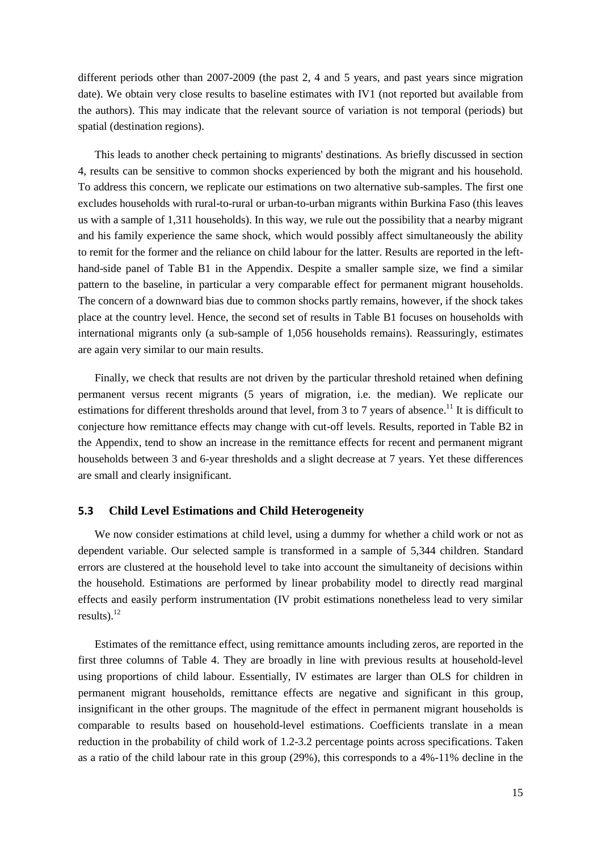different periods other than 2007-2009 (the past 2, 4 and 5 years, and past years since migration date). We obtain very close results to baseline estimates with IV1 (not reported but available from the authors). This may indicate that the relevant source of variation is not temporal (periods) but spatial (destination regions).

This leads to another check pertaining to migrants' destinations. As briefly discussed in section 4, results can be sensitive to common shocks experienced by both the migrant and his household. To address this concern, we replicate our estimations on two alternative sub-samples. The first one excludes households with rural-to-rural or urban-to-urban migrants within Burkina Faso (this leaves us with a sample of 1,311 households). In this way, we rule out the possibility that a nearby migrant and his family experience the same shock, which would possibly affect simultaneously the ability to remit for the former and the reliance on child labour for the latter. Results are reported in the lefthand-side panel of Table B1 in the Appendix. Despite a smaller sample size, we find a similar pattern to the baseline, in particular a very comparable effect for permanent migrant households. The concern of a downward bias due to common shocks partly remains, however, if the shock takes place at the country level. Hence, the second set of results in Table B1 focuses on households with international migrants only (a sub-sample of 1,056 households remains). Reassuringly, estimates are again very similar to our main results.

Finally, we check that results are not driven by the particular threshold retained when defining permanent versus recent migrants (5 years of migration, i.e. the median). We replicate our estimations for different thresholds around that level, from 3 to 7 years of absence.<sup>11</sup> It is difficult to conjecture how remittance effects may change with cut-off levels. Results, reported in Table B2 in the Appendix, tend to show an increase in the remittance effects for recent and permanent migrant households between 3 and 6-year thresholds and a slight decrease at 7 years. Yet these differences are small and clearly insignificant.

#### **5.3 Child Level Estimations and Child Heterogeneity**

We now consider estimations at child level, using a dummy for whether a child work or not as dependent variable. Our selected sample is transformed in a sample of 5,344 children. Standard errors are clustered at the household level to take into account the simultaneity of decisions within the household. Estimations are performed by linear probability model to directly read marginal effects and easily perform instrumentation (IV probit estimations nonetheless lead to very similar results) $^{12}$ 

Estimates of the remittance effect, using remittance amounts including zeros, are reported in the first three columns of Table 4. They are broadly in line with previous results at household-level using proportions of child labour. Essentially, IV estimates are larger than OLS for children in permanent migrant households, remittance effects are negative and significant in this group, insignificant in the other groups. The magnitude of the effect in permanent migrant households is comparable to results based on household-level estimations. Coefficients translate in a mean reduction in the probability of child work of 1.2-3.2 percentage points across specifications. Taken as a ratio of the child labour rate in this group (29%), this corresponds to a 4%-11% decline in the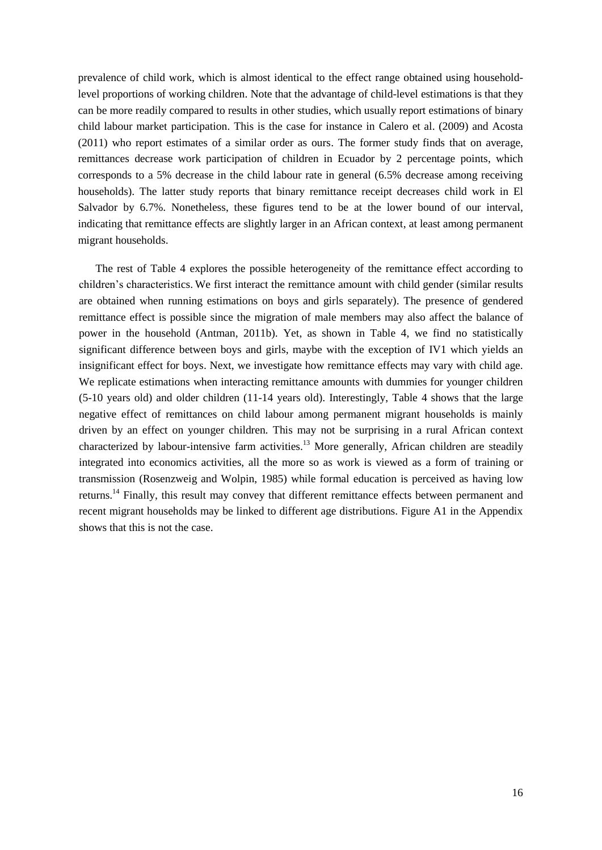prevalence of child work, which is almost identical to the effect range obtained using householdlevel proportions of working children. Note that the advantage of child-level estimations is that they can be more readily compared to results in other studies, which usually report estimations of binary child labour market participation. This is the case for instance in Calero et al. (2009) and Acosta (2011) who report estimates of a similar order as ours. The former study finds that on average, remittances decrease work participation of children in Ecuador by 2 percentage points, which corresponds to a 5% decrease in the child labour rate in general (6.5% decrease among receiving households). The latter study reports that binary remittance receipt decreases child work in El Salvador by 6.7%. Nonetheless, these figures tend to be at the lower bound of our interval, indicating that remittance effects are slightly larger in an African context, at least among permanent migrant households.

The rest of Table 4 explores the possible heterogeneity of the remittance effect according to children's characteristics. We first interact the remittance amount with child gender (similar results are obtained when running estimations on boys and girls separately). The presence of gendered remittance effect is possible since the migration of male members may also affect the balance of power in the household (Antman, 2011b). Yet, as shown in Table 4, we find no statistically significant difference between boys and girls, maybe with the exception of IV1 which yields an insignificant effect for boys. Next, we investigate how remittance effects may vary with child age. We replicate estimations when interacting remittance amounts with dummies for younger children (5-10 years old) and older children (11-14 years old). Interestingly, Table 4 shows that the large negative effect of remittances on child labour among permanent migrant households is mainly driven by an effect on younger children. This may not be surprising in a rural African context characterized by labour-intensive farm activities.<sup>13</sup> More generally, African children are steadily integrated into economics activities, all the more so as work is viewed as a form of training or transmission (Rosenzweig and Wolpin, 1985) while formal education is perceived as having low returns.<sup>14</sup> Finally, this result may convey that different remittance effects between permanent and recent migrant households may be linked to different age distributions. Figure A1 in the Appendix shows that this is not the case.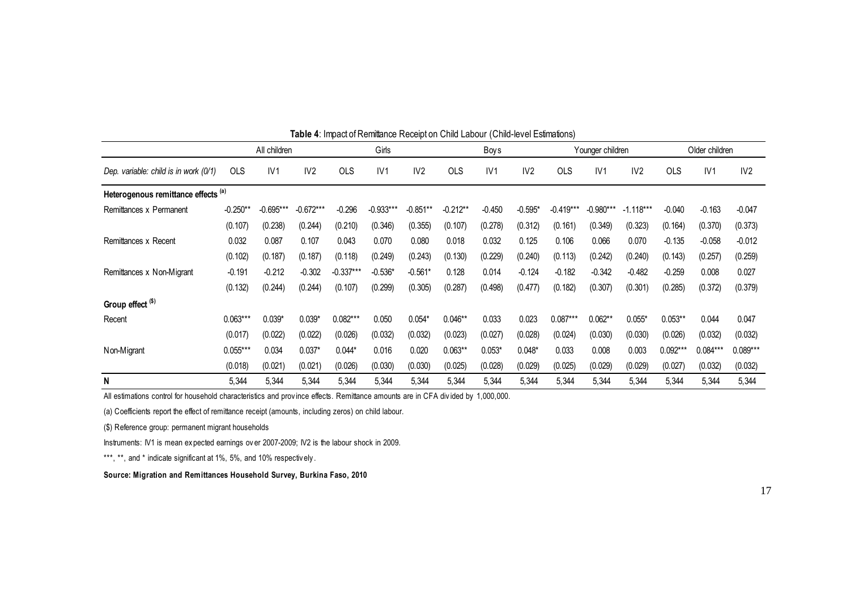| <b>Table +.</b> Impact of Reminance Receipt on Orling Eabour (Orling-ic ver Estimatoris) |              |             |                 |             |             |                 |            |          |                 |             |                  |                 |            |                |            |  |
|------------------------------------------------------------------------------------------|--------------|-------------|-----------------|-------------|-------------|-----------------|------------|----------|-----------------|-------------|------------------|-----------------|------------|----------------|------------|--|
|                                                                                          | All children |             |                 |             | Girls       |                 |            | Boys     |                 |             | Younger children |                 |            | Older children |            |  |
| Dep. variable: child is in work (0/1)                                                    | <b>OLS</b>   | IV1         | IV <sub>2</sub> | <b>OLS</b>  | IV1         | IV <sub>2</sub> | <b>OLS</b> | IV1      | IV <sub>2</sub> | <b>OLS</b>  | IV1              | IV <sub>2</sub> | <b>OLS</b> | IV1            | IV2        |  |
| Heterogenous remittance effects (a)                                                      |              |             |                 |             |             |                 |            |          |                 |             |                  |                 |            |                |            |  |
| Remittances x Permanent                                                                  | $-0.250**$   | $-0.695***$ | $-0.672***$     | $-0.296$    | $-0.933***$ | $-0.851**$      | $-0.212**$ | $-0.450$ | $-0.595*$       | $-0.419***$ | $-0.980***$      | $-1.118***$     | $-0.040$   | $-0.163$       | $-0.047$   |  |
|                                                                                          | (0.107)      | (0.238)     | (0.244)         | (0.210)     | (0.346)     | (0.355)         | (0.107)    | (0.278)  | (0.312)         | (0.161)     | (0.349)          | (0.323)         | (0.164)    | (0.370)        | (0.373)    |  |
| Remittances x Recent                                                                     | 0.032        | 0.087       | 0.107           | 0.043       | 0.070       | 0.080           | 0.018      | 0.032    | 0.125           | 0.106       | 0.066            | 0.070           | $-0.135$   | $-0.058$       | $-0.012$   |  |
|                                                                                          | (0.102)      | (0.187)     | (0.187)         | (0.118)     | (0.249)     | (0.243)         | (0.130)    | (0.229)  | (0.240)         | (0.113)     | (0.242)          | (0.240)         | (0.143)    | (0.257)        | (0.259)    |  |
| Remittances x Non-Migrant                                                                | $-0.191$     | $-0.212$    | $-0.302$        | $-0.337***$ | $-0.536*$   | $-0.561*$       | 0.128      | 0.014    | $-0.124$        | $-0.182$    | $-0.342$         | $-0.482$        | $-0.259$   | 0.008          | 0.027      |  |
|                                                                                          | (0.132)      | (0.244)     | (0.244)         | (0.107)     | (0.299)     | (0.305)         | (0.287)    | (0.498)  | (0.477)         | (0.182)     | (0.307)          | (0.301)         | (0.285)    | (0.372)        | (0.379)    |  |
| Group effect <sup>(\$)</sup>                                                             |              |             |                 |             |             |                 |            |          |                 |             |                  |                 |            |                |            |  |
| Recent                                                                                   | $0.063***$   | $0.039*$    | $0.039*$        | $0.082***$  | 0.050       | $0.054*$        | $0.046**$  | 0.033    | 0.023           | $0.087***$  | $0.062**$        | $0.055*$        | $0.053**$  | 0.044          | 0.047      |  |
|                                                                                          | (0.017)      | (0.022)     | (0.022)         | (0.026)     | (0.032)     | (0.032)         | (0.023)    | (0.027)  | (0.028)         | (0.024)     | (0.030)          | (0.030)         | (0.026)    | (0.032)        | (0.032)    |  |
| Non-Migrant                                                                              | $0.055***$   | 0.034       | $0.037*$        | $0.044*$    | 0.016       | 0.020           | $0.063**$  | $0.053*$ | $0.048*$        | 0.033       | 0.008            | 0.003           | $0.092***$ | $0.084***$     | $0.089***$ |  |
|                                                                                          | (0.018)      | (0.021)     | (0.021)         | (0.026)     | (0.030)     | (0.030)         | (0.025)    | (0.028)  | (0.029)         | (0.025)     | (0.029)          | (0.029)         | (0.027)    | (0.032)        | (0.032)    |  |
| N                                                                                        | 5,344        | 5,344       | 5,344           | 5,344       | 5,344       | 5,344           | 5,344      | 5,344    | 5,344           | 5,344       | 5,344            | 5,344           | 5,344      | 5,344          | 5,344      |  |

**Table 4**: Impact of Remittance Receipt on Child Labour (Child-level Estimations)

All estimations control for household characteristics and province effects. Remittance amounts<br>(a) Coefficients report the effect of remittance receipt (amounts, including zeros) on child labour.<br>(\$) Reference group: perma All estimations control for household characteristics and prov ince effects. Remittance amounts are in CFA div ided by 1,000,000.

(a) Coefficients report the effect of remittance receipt (amounts, including zeros) on child labour. (a) Coefficients report the effect of remittance receipt (amounts, inclu<br>
(\$) Reference group: permanent migrant households<br>
Instruments: IV1 is mean expected earnings over 2007-2009; IV2 is<br>
\*\*\*, \*\*, and \* indicate signif

(\$) Reference group: permanent migrant households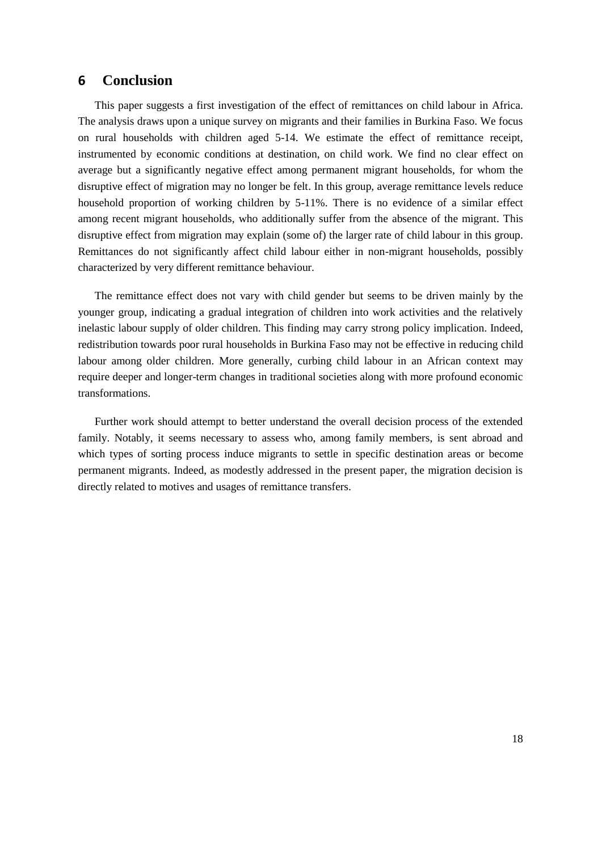### **6 Conclusion**

This paper suggests a first investigation of the effect of remittances on child labour in Africa. The analysis draws upon a unique survey on migrants and their families in Burkina Faso. We focus on rural households with children aged 5-14. We estimate the effect of remittance receipt, instrumented by economic conditions at destination, on child work. We find no clear effect on average but a significantly negative effect among permanent migrant households, for whom the disruptive effect of migration may no longer be felt. In this group, average remittance levels reduce household proportion of working children by 5-11%. There is no evidence of a similar effect among recent migrant households, who additionally suffer from the absence of the migrant. This disruptive effect from migration may explain (some of) the larger rate of child labour in this group. Remittances do not significantly affect child labour either in non-migrant households, possibly characterized by very different remittance behaviour.

The remittance effect does not vary with child gender but seems to be driven mainly by the younger group, indicating a gradual integration of children into work activities and the relatively inelastic labour supply of older children. This finding may carry strong policy implication. Indeed, redistribution towards poor rural households in Burkina Faso may not be effective in reducing child labour among older children. More generally, curbing child labour in an African context may require deeper and longer-term changes in traditional societies along with more profound economic transformations.

Further work should attempt to better understand the overall decision process of the extended family. Notably, it seems necessary to assess who, among family members, is sent abroad and which types of sorting process induce migrants to settle in specific destination areas or become permanent migrants. Indeed, as modestly addressed in the present paper, the migration decision is directly related to motives and usages of remittance transfers.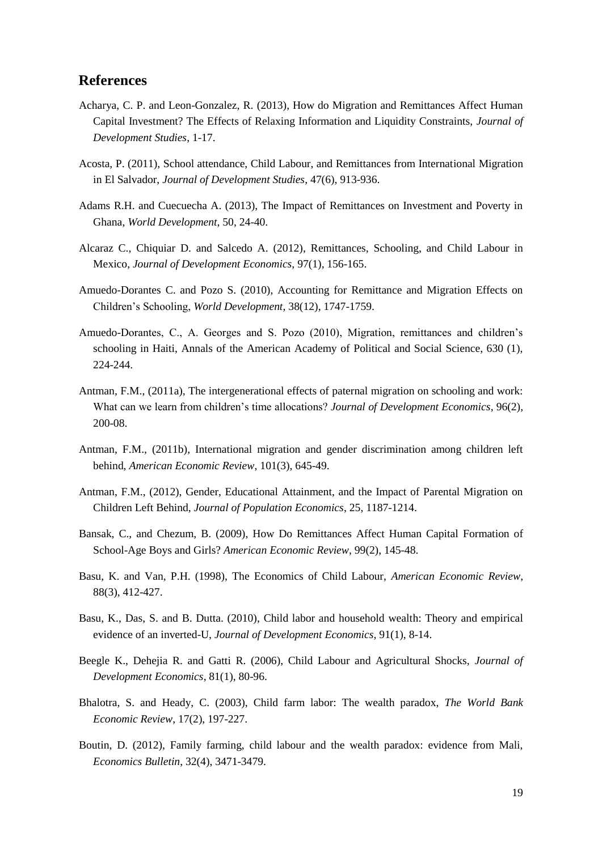### **References**

- Acharya, C. P. and Leon-Gonzalez, R. (2013), How do Migration and Remittances Affect Human Capital Investment? The Effects of Relaxing Information and Liquidity Constraints, *Journal of Development Studies*, 1-17.
- Acosta, P. (2011), School attendance, Child Labour, and Remittances from International Migration in El Salvador, *Journal of Development Studies*, 47(6), 913-936.
- Adams R.H. and Cuecuecha A. (2013), The Impact of Remittances on Investment and Poverty in Ghana, *World Development*, 50, 24-40.
- Alcaraz C., Chiquiar D. and Salcedo A. (2012), Remittances, Schooling, and Child Labour in Mexico, *Journal of Development Economics*, 97(1), 156-165.
- Amuedo-Dorantes C. and Pozo S. (2010), Accounting for Remittance and Migration Effects on Children's Schooling, *World Development*, 38(12), 1747-1759.
- Amuedo-Dorantes, C., A. Georges and S. Pozo (2010), Migration, remittances and children's schooling in Haiti, Annals of the American Academy of Political and Social Science, 630 (1), 224-244.
- Antman, F.M., (2011a), The intergenerational effects of paternal migration on schooling and work: What can we learn from children's time allocations? *Journal of Development Economics*, 96(2), 200-08.
- Antman, F.M., (2011b), International migration and gender discrimination among children left behind, *American Economic Review*, 101(3), 645-49.
- Antman, F.M., (2012), Gender, Educational Attainment, and the Impact of Parental Migration on Children Left Behind, *Journal of Population Economics*, 25, 1187-1214.
- Bansak, C., and Chezum, B. (2009), How Do Remittances Affect Human Capital Formation of School-Age Boys and Girls? *American Economic Review*, 99(2), 145-48.
- Basu, K. and Van, P.H. (1998), The Economics of Child Labour, *American Economic Review*, 88(3), 412-427.
- Basu, K., Das, S. and B. Dutta. (2010), Child labor and household wealth: Theory and empirical evidence of an inverted-U, *Journal of Development Economics*, 91(1), 8-14.
- Beegle K., Dehejia R. and Gatti R. (2006), Child Labour and Agricultural Shocks, *Journal of Development Economics*, 81(1), 80-96.
- Bhalotra, S. and Heady, C. (2003), Child farm labor: The wealth paradox, *The World Bank Economic Review*, 17(2), 197-227.
- Boutin, D. (2012), Family farming, child labour and the wealth paradox: evidence from Mali, *Economics Bulletin*, 32(4), 3471-3479.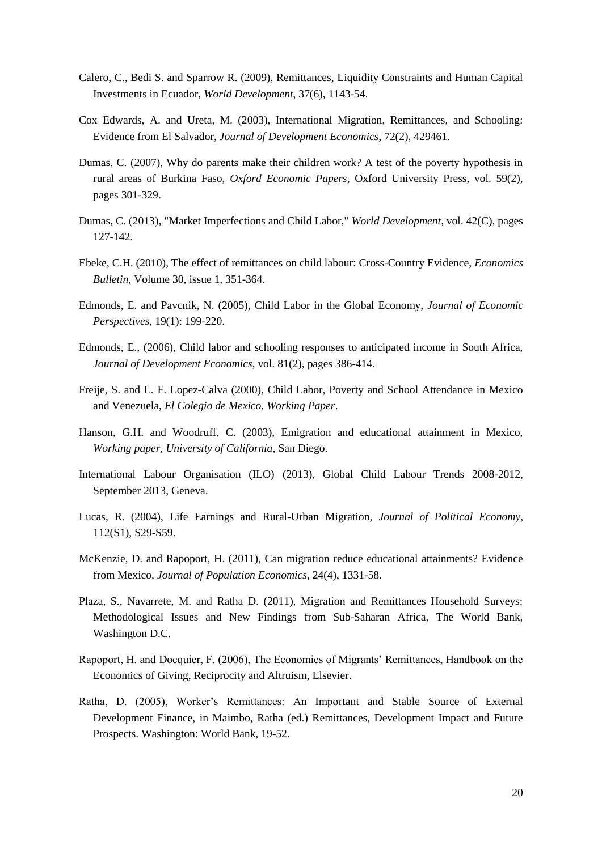- Calero, C., Bedi S. and Sparrow R. (2009), Remittances, Liquidity Constraints and Human Capital Investments in Ecuador, *World Development*, 37(6), 1143-54.
- Cox Edwards, A. and Ureta, M. (2003), International Migration, Remittances, and Schooling: Evidence from El Salvador, *Journal of Development Economics*, 72(2), 429461.
- Dumas, C. (2007), Why do parents make their children work? A test of the poverty hypothesis in rural areas of Burkina Faso, *Oxford Economic Papers*, Oxford University Press, vol. 59(2), pages 301-329.
- Dumas, C. (2013), "Market Imperfections and Child Labor," *World Development*, vol. 42(C), pages 127-142.
- Ebeke, C.H. (2010), The effect of remittances on child labour: Cross-Country Evidence, *Economics Bulletin*, Volume 30, issue 1, 351-364.
- Edmonds, E. and Pavcnik, N. (2005), Child Labor in the Global Economy, *Journal of Economic Perspectives*, 19(1): 199-220.
- Edmonds, E., (2006), Child labor and schooling responses to anticipated income in South Africa, *Journal of Development Economics*, vol. 81(2), pages 386-414.
- Freije, S. and L. F. Lopez-Calva (2000), Child Labor, Poverty and School Attendance in Mexico and Venezuela, *El Colegio de Mexico, Working Paper*.
- Hanson, G.H. and Woodruff, C. (2003), Emigration and educational attainment in Mexico, *Working paper, University of California*, San Diego.
- International Labour Organisation (ILO) (2013), Global Child Labour Trends 2008-2012, September 2013, Geneva.
- Lucas, R. (2004), Life Earnings and Rural-Urban Migration, *Journal of Political Economy*, 112(S1), S29-S59.
- McKenzie, D. and Rapoport, H. (2011), Can migration reduce educational attainments? Evidence from Mexico, *Journal of Population Economics*, 24(4), 1331-58.
- Plaza, S., Navarrete, M. and Ratha D. (2011), Migration and Remittances Household Surveys: Methodological Issues and New Findings from Sub-Saharan Africa, The World Bank, Washington D.C.
- Rapoport, H. and Docquier, F. (2006), The Economics of Migrants' Remittances, Handbook on the Economics of Giving, Reciprocity and Altruism, Elsevier.
- Ratha, D. (2005), Worker's Remittances: An Important and Stable Source of External Development Finance, in Maimbo, Ratha (ed.) Remittances, Development Impact and Future Prospects. Washington: World Bank, 19-52.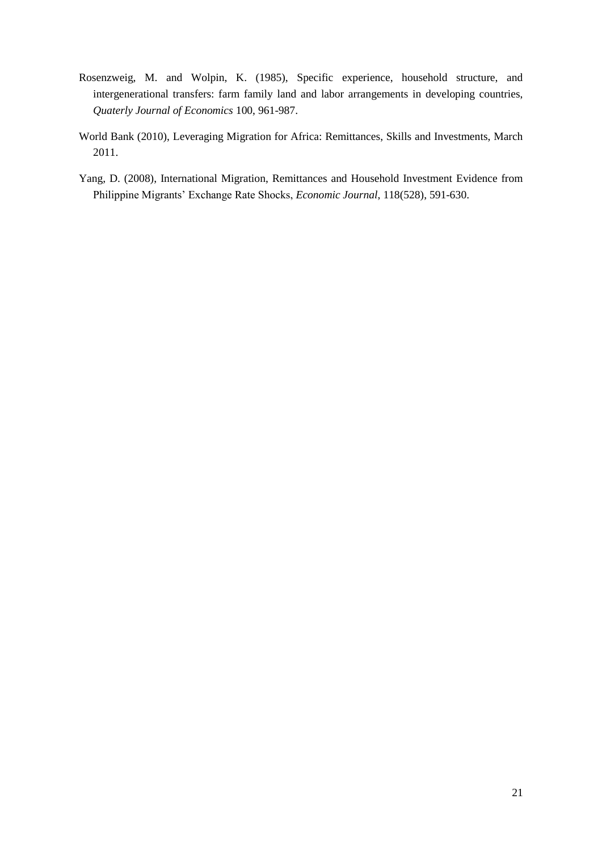- Rosenzweig, M. and Wolpin, K. (1985), Specific experience, household structure, and intergenerational transfers: farm family land and labor arrangements in developing countries, *Quaterly Journal of Economics* 100, 961-987.
- World Bank (2010), Leveraging Migration for Africa: Remittances, Skills and Investments, March 2011.
- Yang, D. (2008), International Migration, Remittances and Household Investment Evidence from Philippine Migrants' Exchange Rate Shocks, *Economic Journal*, 118(528), 591-630.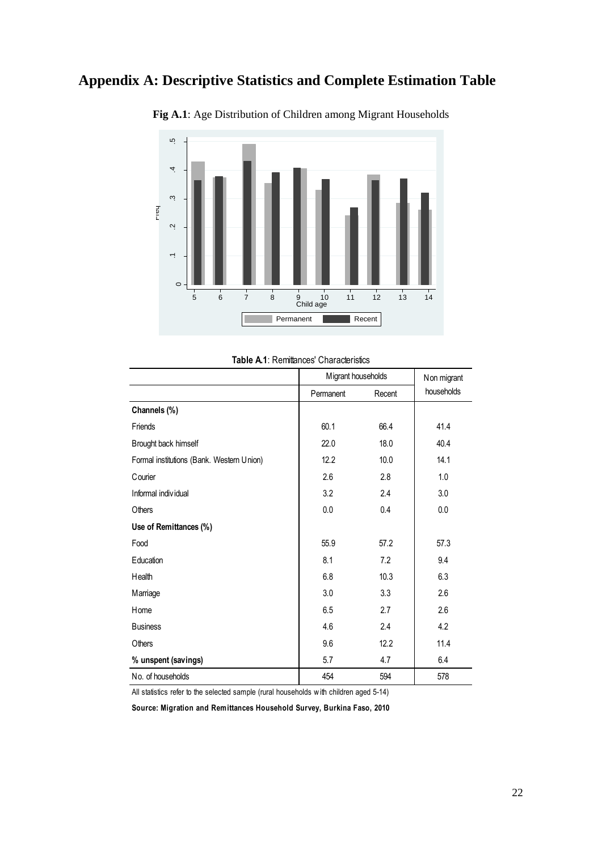## **Appendix A: Descriptive Statistics and Complete Estimation Table**



**Fig A.1**: Age Distribution of Children among Migrant Households

|  |  |  |  | <b>Table A.1: Remittances' Characteristics</b> |
|--|--|--|--|------------------------------------------------|
|--|--|--|--|------------------------------------------------|

|                                           | Migrant households | Non migrant |            |
|-------------------------------------------|--------------------|-------------|------------|
|                                           | Permanent          | Recent      | households |
| Channels (%)                              |                    |             |            |
| Friends                                   | 60.1               | 66.4        | 41.4       |
| Brought back himself                      | 22.0               | 18.0        | 40.4       |
| Formal institutions (Bank. Western Union) | 12.2               | 10.0        | 14.1       |
| <b>C</b> ourier                           | 2.6                | 2.8         | 1.0        |
| Informal individual                       | 3.2                | 2.4         | 3.0        |
| Others                                    | 0.0                | 0.4         | 0.0        |
| Use of Remittances (%)                    |                    |             |            |
| Food                                      | 55.9               | 57.2        | 57.3       |
| Education                                 | 8.1                | 7.2         | 9.4        |
| Health                                    | 6.8                | 10.3        | 6.3        |
| Marriage                                  | 3.0                | 3.3         | 2.6        |
| Home                                      | 6.5                | 2.7         | 2.6        |
| <b>Business</b>                           | 4.6                | 2.4         | 4.2        |
| Others                                    | 9.6                | 12.2        | 11.4       |
| % unspent (savings)                       | 5.7                | 4.7         | 6.4        |
| No. of households                         | 454                | 594         | 578        |

All statistics refer to the selected sample (rural households w ith children aged 5-14)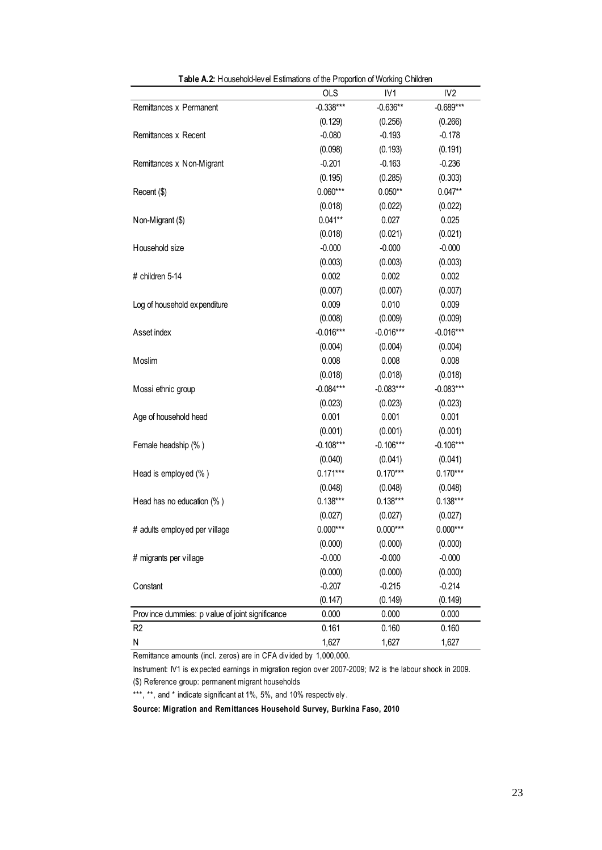|                                                 | <b>OLS</b>  | IV <sub>1</sub> | IV <sub>2</sub> |
|-------------------------------------------------|-------------|-----------------|-----------------|
| Remittances x Permanent                         | $-0.338***$ | $-0.636**$      | $-0.689***$     |
|                                                 | (0.129)     | (0.256)         | (0.266)         |
| Remittances x Recent                            | $-0.080$    | $-0.193$        | $-0.178$        |
|                                                 | (0.098)     | (0.193)         | (0.191)         |
| Remittances x Non-Migrant                       | $-0.201$    | $-0.163$        | $-0.236$        |
|                                                 | (0.195)     | (0.285)         | (0.303)         |
| Recent (\$)                                     | $0.060***$  | $0.050**$       | $0.047**$       |
|                                                 | (0.018)     | (0.022)         | (0.022)         |
| Non-Migrant (\$)                                | $0.041**$   | 0.027           | 0.025           |
|                                                 | (0.018)     | (0.021)         | (0.021)         |
| Household size                                  | $-0.000$    | $-0.000$        | $-0.000$        |
|                                                 | (0.003)     | (0.003)         | (0.003)         |
| # children 5-14                                 | 0.002       | 0.002           | 0.002           |
|                                                 | (0.007)     | (0.007)         | (0.007)         |
| Log of household expenditure                    | 0.009       | 0.010           | 0.009           |
|                                                 | (0.008)     | (0.009)         | (0.009)         |
| Asset index                                     | $-0.016***$ | $-0.016***$     | $-0.016***$     |
|                                                 | (0.004)     | (0.004)         | (0.004)         |
| Moslim                                          | 0.008       | 0.008           | 0.008           |
|                                                 | (0.018)     | (0.018)         | (0.018)         |
| Mossi ethnic group                              | $-0.084***$ | $-0.083***$     | $-0.083***$     |
|                                                 | (0.023)     | (0.023)         | (0.023)         |
| Age of household head                           | 0.001       | 0.001           | 0.001           |
|                                                 | (0.001)     | (0.001)         | (0.001)         |
| Female headship (%)                             | $-0.108***$ | $-0.106***$     | $-0.106***$     |
|                                                 | (0.040)     | (0.041)         | (0.041)         |
| Head is employed (%)                            | $0.171***$  | $0.170***$      | $0.170***$      |
|                                                 | (0.048)     | (0.048)         | (0.048)         |
| Head has no education (%)                       | $0.138***$  | $0.138***$      | $0.138***$      |
|                                                 | (0.027)     | (0.027)         | (0.027)         |
| # adults employed per village                   | $0.000***$  | $0.000***$      | $0.000***$      |
|                                                 | (0.000)     | (0.000)         | (0.000)         |
| # migrants per village                          | $-0.000$    | $-0.000$        | $-0.000$        |
|                                                 | (0.000)     | (0.000)         | (0.000)         |
| Constant                                        | $-0.207$    | $-0.215$        | $-0.214$        |
|                                                 | (0.147)     | (0.149)         | (0.149)         |
| Province dummies: p value of joint significance | 0.000       | 0.000           | 0.000           |
| R <sub>2</sub>                                  | 0.161       | 0.160           | 0.160           |
| N                                               | 1,627       | 1,627           | 1,627           |

**Table A.2:** Household-level Estimations of the Proportion of Working Children

Remittance amounts (incl. zeros) are in CFA div ided by 1,000,000.

(\$) Reference group: permanent migrant households Instrument: IV1 is ex pected earnings in migration region ov er 2007-2009; IV2 is the labour shock in 2009.

\*\*\*, \*\*, and \* indicate significant at 1%, 5%, and 10% respectively.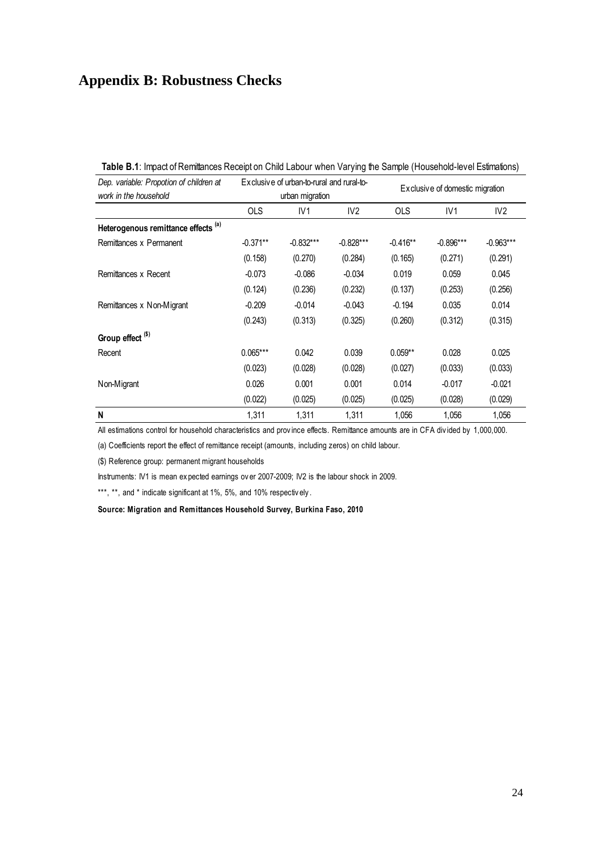## **Appendix B: Robustness Checks**

| Dep. variable: Propotion of children at |            | Exclusive of urban-to-rural and rural-to- |                 | Exclusive of domestic migration |                 |                 |  |  |  |
|-----------------------------------------|------------|-------------------------------------------|-----------------|---------------------------------|-----------------|-----------------|--|--|--|
| work in the household                   |            | urban migration                           |                 |                                 |                 |                 |  |  |  |
|                                         | <b>OLS</b> | IV <sub>1</sub>                           | IV <sub>2</sub> | <b>OLS</b>                      | IV <sub>1</sub> | IV <sub>2</sub> |  |  |  |
| Heterogenous remittance effects (a)     |            |                                           |                 |                                 |                 |                 |  |  |  |
| Remittances x Permanent                 | $-0.371**$ | $-0.832***$                               | $-0.828***$     | $-0.416**$                      | $-0.896***$     | $-0.963***$     |  |  |  |
|                                         | (0.158)    | (0.270)                                   | (0.284)         | (0.165)                         | (0.271)         | (0.291)         |  |  |  |
| Remittances x Recent                    | $-0.073$   | $-0.086$                                  | $-0.034$        | 0.019                           | 0.059           | 0.045           |  |  |  |
|                                         | (0.124)    | (0.236)                                   | (0.232)         | (0.137)                         | (0.253)         | (0.256)         |  |  |  |
| Remittances x Non-Migrant               | $-0.209$   | $-0.014$                                  | $-0.043$        | $-0.194$                        | 0.035           | 0.014           |  |  |  |
|                                         | (0.243)    | (0.313)                                   | (0.325)         | (0.260)                         | (0.312)         | (0.315)         |  |  |  |
| Group effect <sup>(\$)</sup>            |            |                                           |                 |                                 |                 |                 |  |  |  |
| Recent                                  | $0.065***$ | 0.042                                     | 0.039           | $0.059**$                       | 0.028           | 0.025           |  |  |  |
|                                         | (0.023)    | (0.028)                                   | (0.028)         | (0.027)                         | (0.033)         | (0.033)         |  |  |  |
| Non-Migrant                             | 0.026      | 0.001                                     | 0.001           | 0.014                           | $-0.017$        | $-0.021$        |  |  |  |
|                                         | (0.022)    | (0.025)                                   | (0.025)         | (0.025)                         | (0.028)         | (0.029)         |  |  |  |
| N                                       | 1,311      | 1,311                                     | 1,311           | 1,056                           | 1,056           | 1,056           |  |  |  |

All estimations control for household characteristics and prov ince effects. Remittance amounts are in CFA div ided by 1,000,000.

(a) Coefficients report the effect of remittance receipt (amounts, including zeros) on child labour. Instruments: IV1 is mean ex pected earnings ov er 2007-2009; IV2 is the labour shock in 2009.

(\$) Reference group: permanent migrant households

Instruments: IV1 is mean expected earnings over 2007-2009; IV2 is the labour shock in 2009.<br>\*\*\*, \*\*, and \* indicate significant at 1%, 5%, and 10% respectively.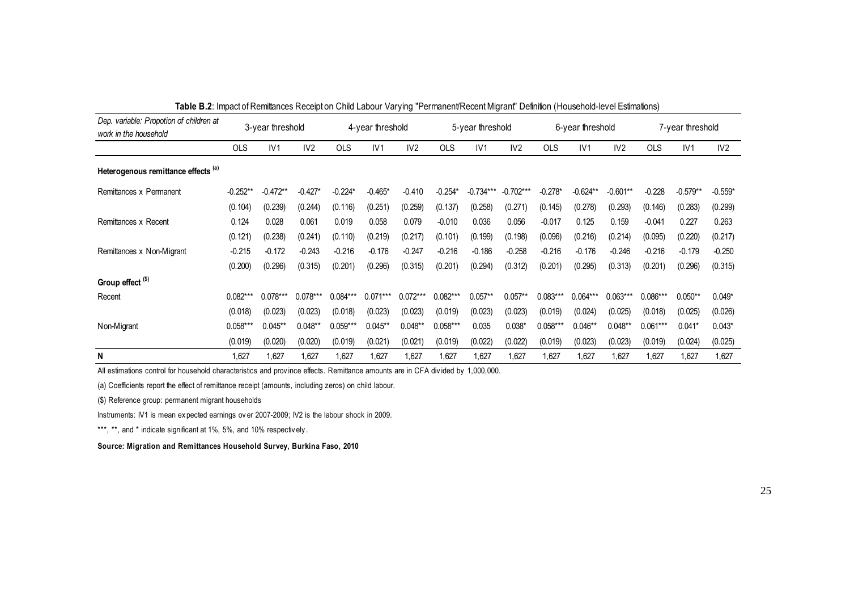| <b>TODIO DIE:</b> IMPORTATIVAMMANOSO I ROSSIPLON UNICI EGDOGI VOLYMIN I UNIMANOMITROSSILMINGI LI DUMNON (HOGGGNORI IDVOLEGIMORONIS) |            |                  |                 |            |                  |            |                  |             |                  |            |            |                  |            |            |           |
|-------------------------------------------------------------------------------------------------------------------------------------|------------|------------------|-----------------|------------|------------------|------------|------------------|-------------|------------------|------------|------------|------------------|------------|------------|-----------|
| Dep. variable: Propotion of children at<br>work in the household                                                                    |            | 3-year threshold |                 |            | 4-year threshold |            | 5-year threshold |             | 6-year threshold |            |            | 7-year threshold |            |            |           |
|                                                                                                                                     | <b>OLS</b> | IV1              | IV <sub>2</sub> | <b>OLS</b> | IV1              | IV2        | <b>OLS</b>       | IV1         | IV2              | <b>OLS</b> | IV1        | IV2              | <b>OLS</b> | IV1        | IV2       |
| Heterogenous remittance effects (a)                                                                                                 |            |                  |                 |            |                  |            |                  |             |                  |            |            |                  |            |            |           |
| Remittances x Permanent                                                                                                             | $-0.252**$ | $-0.472**$       | $-0.427*$       | $-0.224*$  | $-0.465*$        | $-0.410$   | $-0.254*$        | $-0.734***$ | $-0.702***$      | $-0.278*$  | $-0.624**$ | $-0.601**$       | $-0.228$   | $-0.579**$ | $-0.559*$ |
|                                                                                                                                     | (0.104)    | (0.239)          | (0.244)         | (0.116)    | (0.251)          | (0.259)    | (0.137)          | (0.258)     | (0.271)          | (0.145)    | (0.278)    | (0.293)          | (0.146)    | (0.283)    | (0.299)   |
| Remittances x Recent                                                                                                                | 0.124      | 0.028            | 0.061           | 0.019      | 0.058            | 0.079      | $-0.010$         | 0.036       | 0.056            | $-0.017$   | 0.125      | 0.159            | $-0.041$   | 0.227      | 0.263     |
|                                                                                                                                     | (0.121)    | (0.238)          | (0.241)         | (0.110)    | (0.219)          | (0.217)    | (0.101)          | (0.199)     | (0.198)          | (0.096)    | (0.216)    | (0.214)          | (0.095)    | (0.220)    | (0.217)   |
| Remittances x Non-Migrant                                                                                                           | $-0.215$   | $-0.172$         | $-0.243$        | $-0.216$   | $-0.176$         | $-0.247$   | $-0.216$         | $-0.186$    | $-0.258$         | $-0.216$   | $-0.176$   | $-0.246$         | $-0.216$   | $-0.179$   | $-0.250$  |
|                                                                                                                                     | (0.200)    | (0.296)          | (0.315)         | (0.201)    | (0.296)          | (0.315)    | (0.201)          | (0.294)     | (0.312)          | (0.201)    | (0.295)    | (0.313)          | (0.201)    | (0.296)    | (0.315)   |
| Group effect <sup>(\$)</sup>                                                                                                        |            |                  |                 |            |                  |            |                  |             |                  |            |            |                  |            |            |           |
| Recent                                                                                                                              | $0.082***$ | $0.078***$       | $0.078***$      | $0.084***$ | $0.071***$       | $0.072***$ | $0.082***$       | $0.057**$   | $0.057**$        | $0.083***$ | $0.064***$ | $0.063***$       | $0.086***$ | $0.050**$  | $0.049*$  |
|                                                                                                                                     | (0.018)    | (0.023)          | (0.023)         | (0.018)    | (0.023)          | (0.023)    | (0.019)          | (0.023)     | (0.023)          | (0.019)    | (0.024)    | (0.025)          | (0.018)    | (0.025)    | (0.026)   |
| Non-Migrant                                                                                                                         | $0.058***$ | $0.045**$        | $0.048**$       | $0.059***$ | $0.045**$        | $0.048**$  | $0.058***$       | 0.035       | $0.038*$         | $0.058***$ | $0.046**$  | $0.048**$        | $0.061***$ | $0.041*$   | $0.043*$  |
|                                                                                                                                     | (0.019)    | (0.020)          | (0.020)         | (0.019)    | (0.021)          | (0.021)    | (0.019)          | (0.022)     | (0.022)          | (0.019)    | (0.023)    | (0.023)          | (0.019)    | (0.024)    | (0.025)   |
| N                                                                                                                                   | 1,627      | 1,627            | 1,627           | 1,627      | 1,627            | 1,627      | 1,627            | 1,627       | 1,627            | 1,627      | 1,627      | 1,627            | 1,627      | 1,627      | 1,627     |

**Table B.2**: Impact of Remittances Receipt on Child Labour Varying "Permanent/Recent Migrant" Definition (Household-level Estimations)

INSTRIMITY INSTRIMITY INSTRIMITY INSTRIMITY IN A SALE INTERNATION CONTINUITY And Coefficients report the effect of remittance receipt (amounts, including zeros) on child labour.<br>
(\$) Reference group: permanent migrant hous All estimations control for household characteristics and prov ince effects. Remittance amounts are in CFA div ided by 1,000,000.

(a) Coefficients report the effect of remittance receipt (amounts, including zeros) on child labour.

(\$) Reference group: permanent migrant households

Instruments: IV1 is mean expected earnings over 2007-2009; IV2 is the labour shock in 2009.<br>\*\*\*, \*\*, and \* indicate significant at 1%, 5%, and 10% respectively.